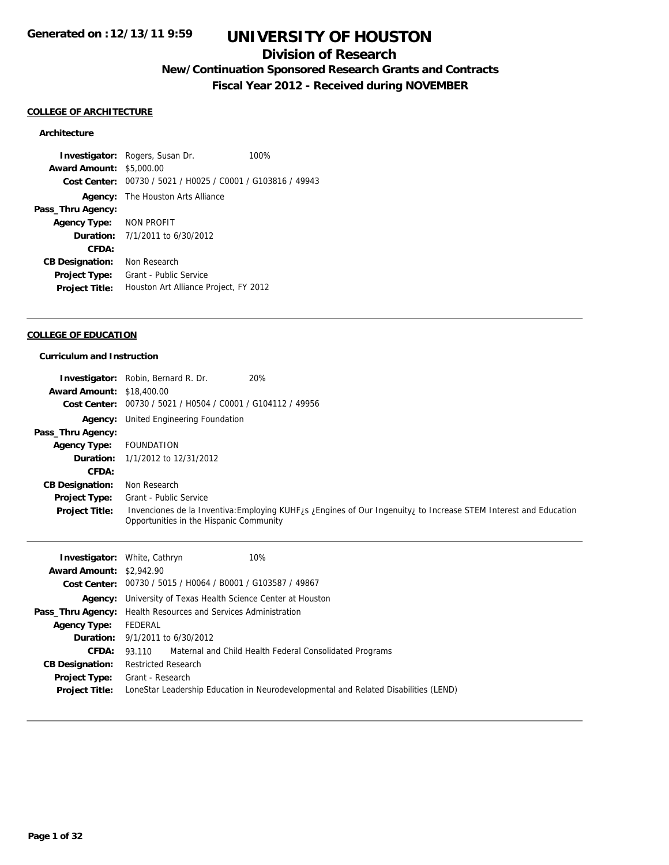## **Division of Research**

## **New/Continuation Sponsored Research Grants and Contracts**

**Fiscal Year 2012 - Received during NOVEMBER**

#### **COLLEGE OF ARCHITECTURE**

#### **Architecture**

**Investigator:** Rogers, Susan Dr. 100% **Award Amount:** \$5,000.00 **Cost Center:** 00730 / 5021 / H0025 / C0001 / G103816 / 49943 **Agency:** The Houston Arts Alliance **Pass\_Thru Agency: Agency Type:** NON PROFIT **Duration:** 7/1/2011 to 6/30/2012 **CFDA: CB Designation:** Non Research **Project Type:** Grant - Public Service **Project Title:** Houston Art Alliance Project, FY 2012

#### **COLLEGE OF EDUCATION**

#### **Curriculum and Instruction**

|                                  | 20%<br><b>Investigator:</b> Robin, Bernard R. Dr.                                                                                                                       |
|----------------------------------|-------------------------------------------------------------------------------------------------------------------------------------------------------------------------|
| <b>Award Amount: \$18,400.00</b> |                                                                                                                                                                         |
|                                  | Cost Center: 00730 / 5021 / H0504 / C0001 / G104112 / 49956                                                                                                             |
| Agency:                          | United Engineering Foundation                                                                                                                                           |
| Pass_Thru Agency:                |                                                                                                                                                                         |
| <b>Agency Type:</b>              | FOUNDATION                                                                                                                                                              |
| Duration:                        | 1/1/2012 to 12/31/2012                                                                                                                                                  |
| CFDA:                            |                                                                                                                                                                         |
| <b>CB Designation:</b>           | Non Research                                                                                                                                                            |
| Project Type:                    | Grant - Public Service                                                                                                                                                  |
| <b>Project Title:</b>            | Invenciones de la Inventiva: Employing KUHF <sub>LS</sub> Lengines of Our Ingenuity, to Increase STEM Interest and Education<br>Opportunities in the Hispanic Community |

|                                 | 10%<br><b>Investigator:</b> White, Cathryn                                          |
|---------------------------------|-------------------------------------------------------------------------------------|
| <b>Award Amount: \$2,942.90</b> |                                                                                     |
|                                 | Cost Center: 00730 / 5015 / H0064 / B0001 / G103587 / 49867                         |
|                                 | <b>Agency:</b> University of Texas Health Science Center at Houston                 |
|                                 | <b>Pass_Thru Agency:</b> Health Resources and Services Administration               |
| <b>Agency Type:</b>             | FEDERAL                                                                             |
|                                 | <b>Duration:</b> 9/1/2011 to 6/30/2012                                              |
| <b>CFDA:</b>                    | 93.110 Maternal and Child Health Federal Consolidated Programs                      |
| <b>CB Designation:</b>          | <b>Restricted Research</b>                                                          |
| <b>Project Type:</b>            | Grant - Research                                                                    |
| <b>Project Title:</b>           | LoneStar Leadership Education in Neurodevelopmental and Related Disabilities (LEND) |
|                                 |                                                                                     |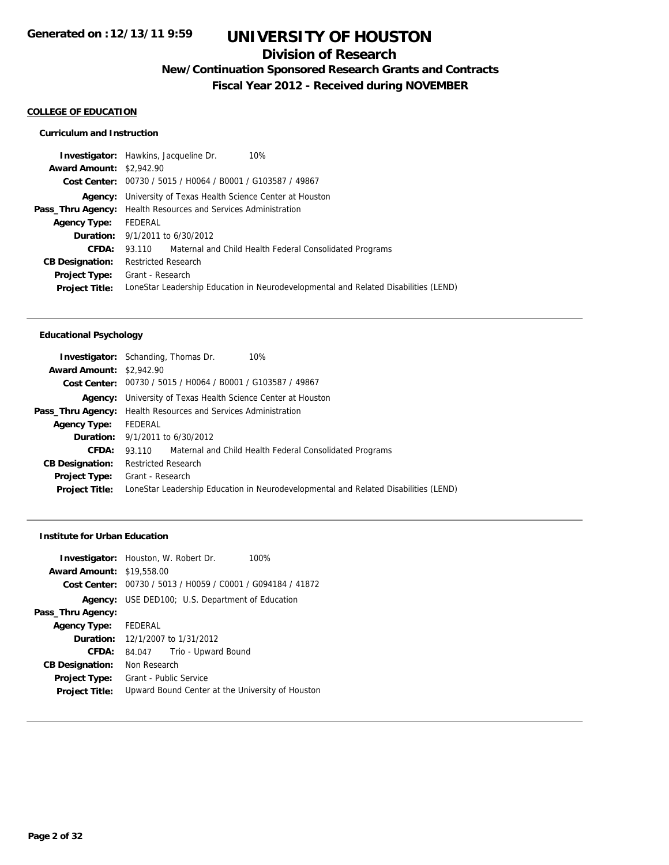## **Division of Research**

**New/Continuation Sponsored Research Grants and Contracts**

**Fiscal Year 2012 - Received during NOVEMBER**

#### **COLLEGE OF EDUCATION**

#### **Curriculum and Instruction**

|                                 | <b>Investigator:</b> Hawkins, Jacqueline Dr.<br>10%                                 |
|---------------------------------|-------------------------------------------------------------------------------------|
| <b>Award Amount: \$2,942.90</b> |                                                                                     |
|                                 | Cost Center: 00730 / 5015 / H0064 / B0001 / G103587 / 49867                         |
|                                 | <b>Agency:</b> University of Texas Health Science Center at Houston                 |
|                                 | <b>Pass_Thru Agency:</b> Health Resources and Services Administration               |
| <b>Agency Type:</b>             | FEDERAL                                                                             |
|                                 | <b>Duration:</b> $9/1/2011$ to $6/30/2012$                                          |
| CFDA:                           | 93.110 Maternal and Child Health Federal Consolidated Programs                      |
| <b>CB Designation:</b>          | <b>Restricted Research</b>                                                          |
| <b>Project Type:</b>            | Grant - Research                                                                    |
| <b>Project Title:</b>           | LoneStar Leadership Education in Neurodevelopmental and Related Disabilities (LEND) |
|                                 |                                                                                     |

#### **Educational Psychology**

|                                 | <b>Investigator:</b> Schanding, Thomas Dr.<br>10%                                   |
|---------------------------------|-------------------------------------------------------------------------------------|
| <b>Award Amount: \$2,942.90</b> |                                                                                     |
|                                 | Cost Center: 00730 / 5015 / H0064 / B0001 / G103587 / 49867                         |
|                                 | <b>Agency:</b> University of Texas Health Science Center at Houston                 |
|                                 | <b>Pass_Thru Agency:</b> Health Resources and Services Administration               |
| <b>Agency Type:</b>             | FEDERAL                                                                             |
|                                 | <b>Duration:</b> $9/1/2011$ to $6/30/2012$                                          |
| CFDA:                           | 93.110 Maternal and Child Health Federal Consolidated Programs                      |
| <b>CB Designation:</b>          | <b>Restricted Research</b>                                                          |
| Project Type:                   | Grant - Research                                                                    |
| <b>Project Title:</b>           | LoneStar Leadership Education in Neurodevelopmental and Related Disabilities (LEND) |
|                                 |                                                                                     |

#### **Institute for Urban Education**

|                                  | <b>Investigator:</b> Houston, W. Robert Dr.<br>100%         |
|----------------------------------|-------------------------------------------------------------|
| <b>Award Amount: \$19,558.00</b> |                                                             |
|                                  | Cost Center: 00730 / 5013 / H0059 / C0001 / G094184 / 41872 |
|                                  | <b>Agency:</b> USE DED100; U.S. Department of Education     |
| Pass_Thru Agency:                |                                                             |
| Agency Type: FEDERAL             |                                                             |
|                                  | <b>Duration:</b> 12/1/2007 to 1/31/2012                     |
| CFDA:                            | Trio - Upward Bound<br>84.047                               |
| <b>CB Designation:</b>           | Non Research                                                |
| <b>Project Type:</b>             | Grant - Public Service                                      |
| <b>Project Title:</b>            | Upward Bound Center at the University of Houston            |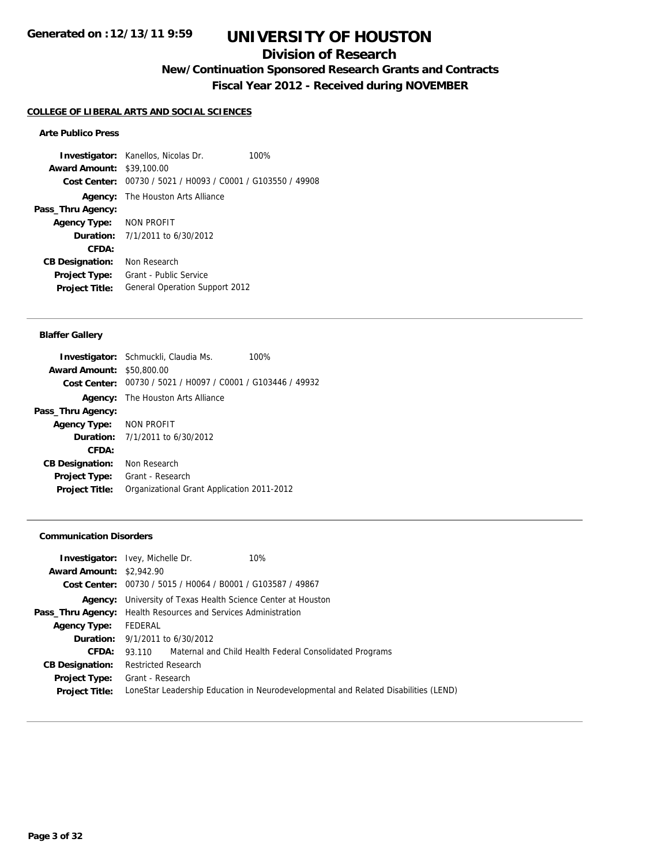### **Division of Research**

**New/Continuation Sponsored Research Grants and Contracts**

**Fiscal Year 2012 - Received during NOVEMBER**

#### **COLLEGE OF LIBERAL ARTS AND SOCIAL SCIENCES**

#### **Arte Publico Press**

**Investigator:** Kanellos, Nicolas Dr. 100% **Award Amount:** \$39,100.00 **Cost Center:** 00730 / 5021 / H0093 / C0001 / G103550 / 49908 **Agency:** The Houston Arts Alliance **Pass\_Thru Agency: Agency Type:** NON PROFIT **Duration:** 7/1/2011 to 6/30/2012 **CFDA: CB Designation:** Non Research **Project Type:** Grant - Public Service **Project Title:** General Operation Support 2012

#### **Blaffer Gallery**

|                                  | <b>Investigator:</b> Schmuckli, Claudia Ms.                 | 100% |
|----------------------------------|-------------------------------------------------------------|------|
| <b>Award Amount: \$50,800.00</b> |                                                             |      |
|                                  | Cost Center: 00730 / 5021 / H0097 / C0001 / G103446 / 49932 |      |
|                                  | <b>Agency:</b> The Houston Arts Alliance                    |      |
| Pass_Thru Agency:                |                                                             |      |
| Agency Type: NON PROFIT          |                                                             |      |
|                                  | <b>Duration:</b> $7/1/2011$ to $6/30/2012$                  |      |
| <b>CFDA:</b>                     |                                                             |      |
| <b>CB Designation:</b>           | Non Research                                                |      |
| <b>Project Type:</b>             | Grant - Research                                            |      |
| <b>Project Title:</b>            | Organizational Grant Application 2011-2012                  |      |
|                                  |                                                             |      |

#### **Communication Disorders**

| <b>Investigator:</b> Ivey, Michelle Dr.                               | 10%                                                                                 |
|-----------------------------------------------------------------------|-------------------------------------------------------------------------------------|
| <b>Award Amount: \$2,942.90</b>                                       |                                                                                     |
| Cost Center: 00730 / 5015 / H0064 / B0001 / G103587 / 49867           |                                                                                     |
| <b>Agency:</b> University of Texas Health Science Center at Houston   |                                                                                     |
| <b>Pass_Thru Agency:</b> Health Resources and Services Administration |                                                                                     |
| FEDERAL                                                               |                                                                                     |
| <b>Duration:</b> $9/1/2011$ to $6/30/2012$                            |                                                                                     |
|                                                                       | 93.110 Maternal and Child Health Federal Consolidated Programs                      |
| <b>Restricted Research</b>                                            |                                                                                     |
| <b>Project Type:</b> Grant - Research                                 |                                                                                     |
|                                                                       | LoneStar Leadership Education in Neurodevelopmental and Related Disabilities (LEND) |
|                                                                       |                                                                                     |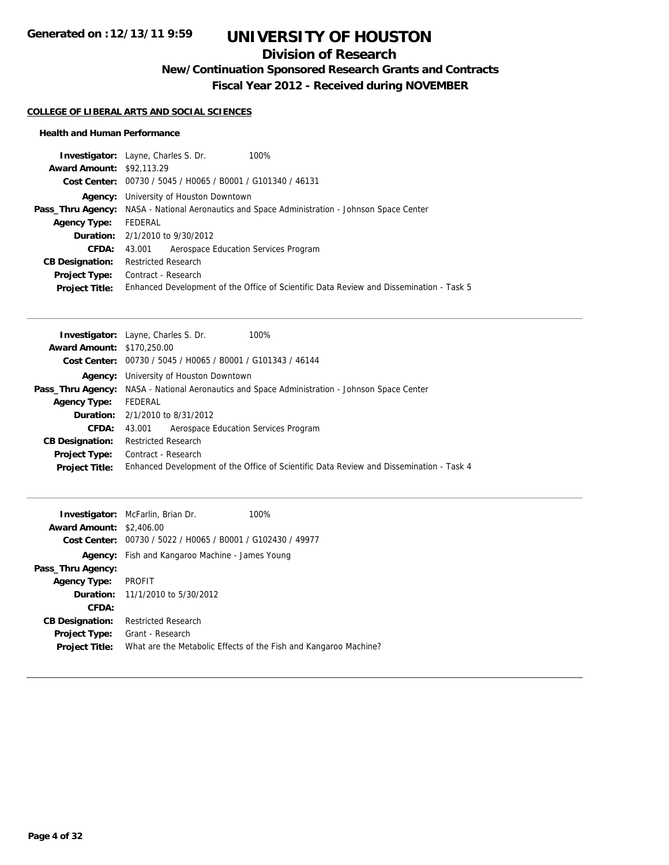## **Division of Research**

**New/Continuation Sponsored Research Grants and Contracts**

**Fiscal Year 2012 - Received during NOVEMBER**

#### **COLLEGE OF LIBERAL ARTS AND SOCIAL SCIENCES**

#### **Health and Human Performance**

| <b>Investigator:</b> Layne, Charles S. Dr.<br>100%                                                   |
|------------------------------------------------------------------------------------------------------|
| <b>Award Amount: \$92,113.29</b>                                                                     |
| Cost Center: 00730 / 5045 / H0065 / B0001 / G101340 / 46131                                          |
| Agency: University of Houston Downtown                                                               |
| <b>Pass_Thru Agency:</b> NASA - National Aeronautics and Space Administration - Johnson Space Center |
| FEDERAL                                                                                              |
| <b>Duration:</b> 2/1/2010 to 9/30/2012                                                               |
| Aerospace Education Services Program<br>43.001                                                       |
| <b>Restricted Research</b>                                                                           |
| Contract - Research                                                                                  |
| Enhanced Development of the Office of Scientific Data Review and Dissemination - Task 5              |
|                                                                                                      |

| <b>Award Amount: \$170,250.00</b><br>Cost Center: 00730 / 5045 / H0065 / B0001 / G101343 / 46144<br>Agency: University of Houston Downtown<br><b>Pass_Thru Agency:</b> NASA - National Aeronautics and Space Administration - Johnson Space Center<br>FEDERAL<br><b>Agency Type:</b><br><b>Duration:</b> $2/1/2010$ to $8/31/2012$<br>Aerospace Education Services Program<br>CFDA:<br>43.001<br><b>Restricted Research</b><br><b>CB Designation:</b><br>Contract - Research<br>Project Type: |                       | <b>Investigator:</b> Layne, Charles S. Dr.<br>100%                                      |
|-----------------------------------------------------------------------------------------------------------------------------------------------------------------------------------------------------------------------------------------------------------------------------------------------------------------------------------------------------------------------------------------------------------------------------------------------------------------------------------------------|-----------------------|-----------------------------------------------------------------------------------------|
|                                                                                                                                                                                                                                                                                                                                                                                                                                                                                               |                       |                                                                                         |
|                                                                                                                                                                                                                                                                                                                                                                                                                                                                                               |                       |                                                                                         |
|                                                                                                                                                                                                                                                                                                                                                                                                                                                                                               |                       |                                                                                         |
|                                                                                                                                                                                                                                                                                                                                                                                                                                                                                               |                       |                                                                                         |
|                                                                                                                                                                                                                                                                                                                                                                                                                                                                                               |                       |                                                                                         |
|                                                                                                                                                                                                                                                                                                                                                                                                                                                                                               |                       |                                                                                         |
|                                                                                                                                                                                                                                                                                                                                                                                                                                                                                               |                       |                                                                                         |
|                                                                                                                                                                                                                                                                                                                                                                                                                                                                                               |                       |                                                                                         |
|                                                                                                                                                                                                                                                                                                                                                                                                                                                                                               |                       |                                                                                         |
|                                                                                                                                                                                                                                                                                                                                                                                                                                                                                               | <b>Project Title:</b> | Enhanced Development of the Office of Scientific Data Review and Dissemination - Task 4 |

| <b>Award Amount:</b><br>Cost Center: | <b>Investigator:</b> McFarlin, Brian Dr.<br>\$2,406.00<br>00730 / 5022 / H0065 / B0001 / G102430 / 49977 | 100%                                                             |
|--------------------------------------|----------------------------------------------------------------------------------------------------------|------------------------------------------------------------------|
| Agency:                              | Fish and Kangaroo Machine - James Young                                                                  |                                                                  |
| Pass_Thru Agency:                    |                                                                                                          |                                                                  |
| <b>Agency Type:</b>                  | PROFIT                                                                                                   |                                                                  |
|                                      | <b>Duration:</b> 11/1/2010 to 5/30/2012                                                                  |                                                                  |
| CFDA:                                |                                                                                                          |                                                                  |
| <b>CB Designation:</b>               | <b>Restricted Research</b>                                                                               |                                                                  |
| <b>Project Type:</b>                 | Grant - Research                                                                                         |                                                                  |
| <b>Project Title:</b>                |                                                                                                          | What are the Metabolic Effects of the Fish and Kangaroo Machine? |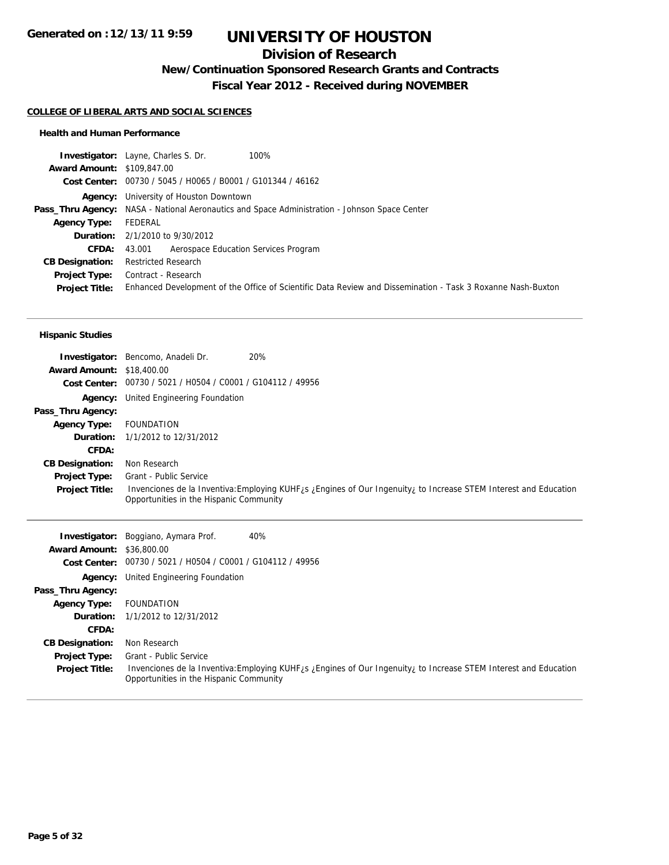## **Division of Research**

**New/Continuation Sponsored Research Grants and Contracts**

**Fiscal Year 2012 - Received during NOVEMBER**

#### **COLLEGE OF LIBERAL ARTS AND SOCIAL SCIENCES**

#### **Health and Human Performance**

|                                   | <b>Investigator:</b> Layne, Charles S. Dr.<br>100%                                                          |
|-----------------------------------|-------------------------------------------------------------------------------------------------------------|
| <b>Award Amount: \$109,847.00</b> |                                                                                                             |
|                                   | Cost Center: 00730 / 5045 / H0065 / B0001 / G101344 / 46162                                                 |
|                                   | Agency: University of Houston Downtown                                                                      |
|                                   | <b>Pass_Thru Agency:</b> NASA - National Aeronautics and Space Administration - Johnson Space Center        |
| <b>Agency Type:</b>               | FEDERAL                                                                                                     |
|                                   | <b>Duration:</b> 2/1/2010 to 9/30/2012                                                                      |
| <b>CFDA:</b>                      | Aerospace Education Services Program<br>43.001                                                              |
| <b>CB Designation:</b>            | <b>Restricted Research</b>                                                                                  |
| Project Type:                     | Contract - Research                                                                                         |
| <b>Project Title:</b>             | Enhanced Development of the Office of Scientific Data Review and Dissemination - Task 3 Roxanne Nash-Buxton |
|                                   |                                                                                                             |

#### **Hispanic Studies**

|                                  | 20%<br>Investigator: Bencomo, Anadeli Dr.                                                                                                                                |
|----------------------------------|--------------------------------------------------------------------------------------------------------------------------------------------------------------------------|
| <b>Award Amount: \$18,400.00</b> |                                                                                                                                                                          |
|                                  | Cost Center: 00730 / 5021 / H0504 / C0001 / G104112 / 49956                                                                                                              |
| Agency:                          | United Engineering Foundation                                                                                                                                            |
| Pass_Thru Agency:                |                                                                                                                                                                          |
| <b>Agency Type:</b>              | <b>FOUNDATION</b>                                                                                                                                                        |
|                                  | <b>Duration:</b> 1/1/2012 to 12/31/2012                                                                                                                                  |
| CFDA:                            |                                                                                                                                                                          |
| <b>CB Designation:</b>           | Non Research                                                                                                                                                             |
| <b>Project Type:</b>             | Grant - Public Service                                                                                                                                                   |
| <b>Project Title:</b>            | Invenciones de la Inventiva: Employing KUHF <sub>i</sub> s ¿Engines of Our Ingenuity, to Increase STEM Interest and Education<br>Opportunities in the Hispanic Community |

|                                  | 40%<br><b>Investigator:</b> Boggiano, Aymara Prof.                                                                                                                       |
|----------------------------------|--------------------------------------------------------------------------------------------------------------------------------------------------------------------------|
| <b>Award Amount: \$36,800.00</b> |                                                                                                                                                                          |
|                                  | Cost Center: 00730 / 5021 / H0504 / C0001 / G104112 / 49956                                                                                                              |
|                                  | <b>Agency:</b> United Engineering Foundation                                                                                                                             |
| Pass_Thru Agency:                |                                                                                                                                                                          |
| <b>Agency Type:</b>              | FOUNDATION                                                                                                                                                               |
|                                  | <b>Duration:</b> 1/1/2012 to 12/31/2012                                                                                                                                  |
| CFDA:                            |                                                                                                                                                                          |
| <b>CB Designation:</b>           | Non Research                                                                                                                                                             |
| <b>Project Type:</b>             | Grant - Public Service                                                                                                                                                   |
| <b>Project Title:</b>            | Invenciones de la Inventiva: Employing KUHF <sub>i</sub> s ¿Engines of Our Ingenuity, to Increase STEM Interest and Education<br>Opportunities in the Hispanic Community |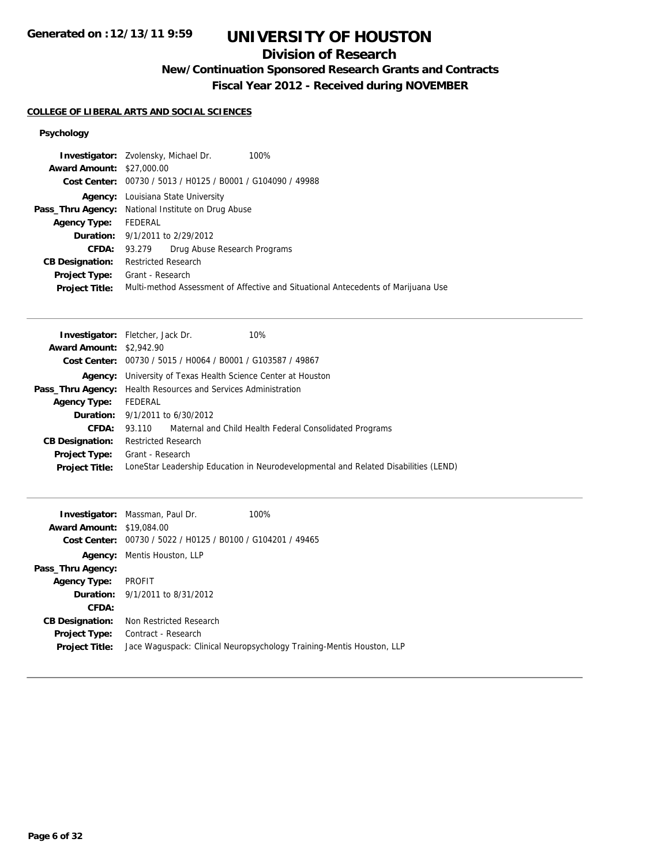## **Division of Research**

## **New/Continuation Sponsored Research Grants and Contracts**

**Fiscal Year 2012 - Received during NOVEMBER**

#### **COLLEGE OF LIBERAL ARTS AND SOCIAL SCIENCES**

### **Psychology**

|                                  | <b>Investigator:</b> Zvolensky, Michael Dr.<br>100%                               |
|----------------------------------|-----------------------------------------------------------------------------------|
| <b>Award Amount: \$27,000.00</b> |                                                                                   |
|                                  | Cost Center: 00730 / 5013 / H0125 / B0001 / G104090 / 49988                       |
|                                  | <b>Agency:</b> Louisiana State University                                         |
|                                  | <b>Pass_Thru Agency:</b> National Institute on Drug Abuse                         |
| <b>Agency Type:</b>              | FEDERAL                                                                           |
|                                  | <b>Duration:</b> 9/1/2011 to 2/29/2012                                            |
| CFDA:                            | Drug Abuse Research Programs<br>93.279                                            |
| <b>CB Designation:</b>           | <b>Restricted Research</b>                                                        |
| Project Type:                    | Grant - Research                                                                  |
| <b>Project Title:</b>            | Multi-method Assessment of Affective and Situational Antecedents of Marijuana Use |
|                                  |                                                                                   |

| <b>Investigator:</b> Fletcher, Jack Dr.                               |                            |                                                             | 10%                                                                                 |
|-----------------------------------------------------------------------|----------------------------|-------------------------------------------------------------|-------------------------------------------------------------------------------------|
| <b>Award Amount: \$2,942.90</b>                                       |                            |                                                             |                                                                                     |
|                                                                       |                            | Cost Center: 00730 / 5015 / H0064 / B0001 / G103587 / 49867 |                                                                                     |
|                                                                       |                            |                                                             | <b>Agency:</b> University of Texas Health Science Center at Houston                 |
| <b>Pass_Thru Agency:</b> Health Resources and Services Administration |                            |                                                             |                                                                                     |
| <b>Agency Type:</b>                                                   | FEDERAL                    |                                                             |                                                                                     |
| <b>Duration:</b> $9/1/2011$ to $6/30/2012$                            |                            |                                                             |                                                                                     |
| CFDA:                                                                 |                            |                                                             | 93.110 Maternal and Child Health Federal Consolidated Programs                      |
| <b>CB Designation:</b>                                                | <b>Restricted Research</b> |                                                             |                                                                                     |
| Project Type:                                                         | Grant - Research           |                                                             |                                                                                     |
| <b>Project Title:</b>                                                 |                            |                                                             | LoneStar Leadership Education in Neurodevelopmental and Related Disabilities (LEND) |

| <b>Award Amount: \$19,084.00</b>              | <b>Investigator:</b> Massman, Paul Dr.<br>Cost Center: 00730 / 5022 / H0125 / B0100 / G104201 / 49465 | 100%                                                                  |
|-----------------------------------------------|-------------------------------------------------------------------------------------------------------|-----------------------------------------------------------------------|
|                                               | <b>Agency:</b> Mentis Houston, LLP                                                                    |                                                                       |
| Pass_Thru Agency:                             |                                                                                                       |                                                                       |
| <b>Agency Type:</b>                           | PROFIT                                                                                                |                                                                       |
|                                               | <b>Duration:</b> 9/1/2011 to 8/31/2012                                                                |                                                                       |
| CFDA:                                         |                                                                                                       |                                                                       |
| <b>CB Designation:</b>                        | Non Restricted Research                                                                               |                                                                       |
| <b>Project Type:</b><br><b>Project Title:</b> | Contract - Research                                                                                   | Jace Waguspack: Clinical Neuropsychology Training-Mentis Houston, LLP |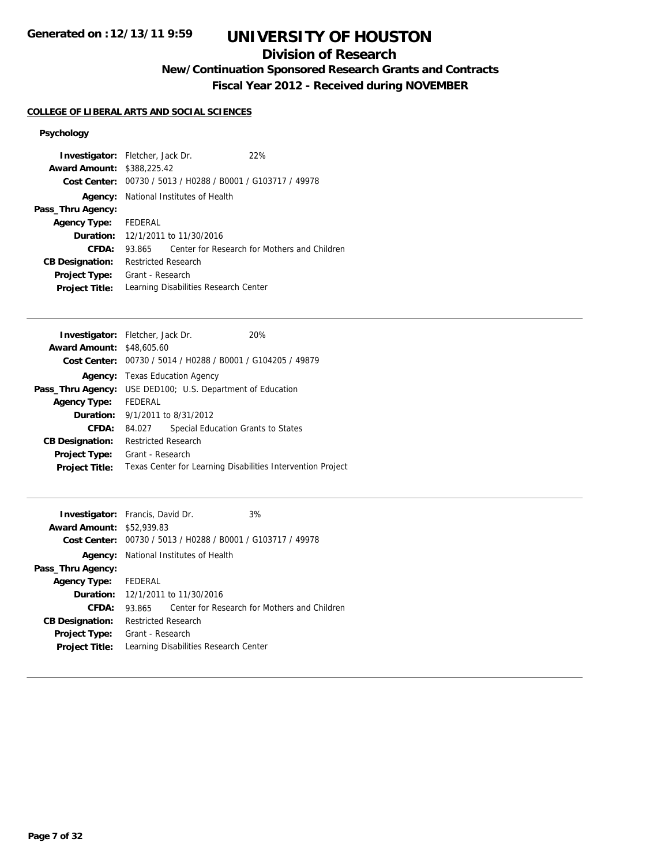## **Division of Research**

**New/Continuation Sponsored Research Grants and Contracts**

**Fiscal Year 2012 - Received during NOVEMBER**

### **COLLEGE OF LIBERAL ARTS AND SOCIAL SCIENCES**

### **Psychology**

| <b>Investigator:</b> Fletcher, Jack Dr. |                                       |                                              | 22%                                                         |
|-----------------------------------------|---------------------------------------|----------------------------------------------|-------------------------------------------------------------|
| <b>Award Amount: \$388,225.42</b>       |                                       |                                              |                                                             |
|                                         |                                       |                                              | Cost Center: 00730 / 5013 / H0288 / B0001 / G103717 / 49978 |
|                                         |                                       | <b>Agency:</b> National Institutes of Health |                                                             |
| Pass_Thru Agency:                       |                                       |                                              |                                                             |
| Agency Type: FEDERAL                    |                                       |                                              |                                                             |
|                                         |                                       | <b>Duration:</b> 12/1/2011 to 11/30/2016     |                                                             |
| CFDA:                                   | 93.865                                |                                              | Center for Research for Mothers and Children                |
| <b>CB Designation:</b>                  | <b>Restricted Research</b>            |                                              |                                                             |
| Project Type:                           | Grant - Research                      |                                              |                                                             |
| <b>Project Title:</b>                   | Learning Disabilities Research Center |                                              |                                                             |

| <b>Investigator:</b> Fletcher, Jack Dr.                           |                                                             |                                       | 20%                                                         |  |
|-------------------------------------------------------------------|-------------------------------------------------------------|---------------------------------------|-------------------------------------------------------------|--|
| <b>Award Amount: \$48,605.60</b>                                  |                                                             |                                       |                                                             |  |
|                                                                   | Cost Center: 00730 / 5014 / H0288 / B0001 / G104205 / 49879 |                                       |                                                             |  |
|                                                                   |                                                             | <b>Agency:</b> Texas Education Agency |                                                             |  |
| <b>Pass_Thru Agency:</b> USE DED100; U.S. Department of Education |                                                             |                                       |                                                             |  |
| <b>Agency Type:</b>                                               | FEDERAL                                                     |                                       |                                                             |  |
| <b>Duration:</b> $9/1/2011$ to $8/31/2012$                        |                                                             |                                       |                                                             |  |
| <b>CFDA:</b>                                                      | 84.027                                                      |                                       | Special Education Grants to States                          |  |
| <b>CB Designation:</b>                                            | <b>Restricted Research</b>                                  |                                       |                                                             |  |
| <b>Project Type:</b>                                              | Grant - Research                                            |                                       |                                                             |  |
| <b>Project Title:</b>                                             |                                                             |                                       | Texas Center for Learning Disabilities Intervention Project |  |
|                                                                   |                                                             |                                       |                                                             |  |

| <b>Investigator:</b> Francis, David Dr. |                            |                                                             | 3%                                           |
|-----------------------------------------|----------------------------|-------------------------------------------------------------|----------------------------------------------|
| <b>Award Amount: \$52,939.83</b>        |                            |                                                             |                                              |
|                                         |                            | Cost Center: 00730 / 5013 / H0288 / B0001 / G103717 / 49978 |                                              |
|                                         |                            | <b>Agency:</b> National Institutes of Health                |                                              |
| Pass_Thru Agency:                       |                            |                                                             |                                              |
| Agency Type: FEDERAL                    |                            |                                                             |                                              |
|                                         |                            | <b>Duration:</b> 12/1/2011 to 11/30/2016                    |                                              |
| CFDA:                                   | 93.865                     |                                                             | Center for Research for Mothers and Children |
| <b>CB Designation:</b>                  | <b>Restricted Research</b> |                                                             |                                              |
| <b>Project Type:</b>                    | Grant - Research           |                                                             |                                              |
| <b>Project Title:</b>                   |                            | Learning Disabilities Research Center                       |                                              |
|                                         |                            |                                                             |                                              |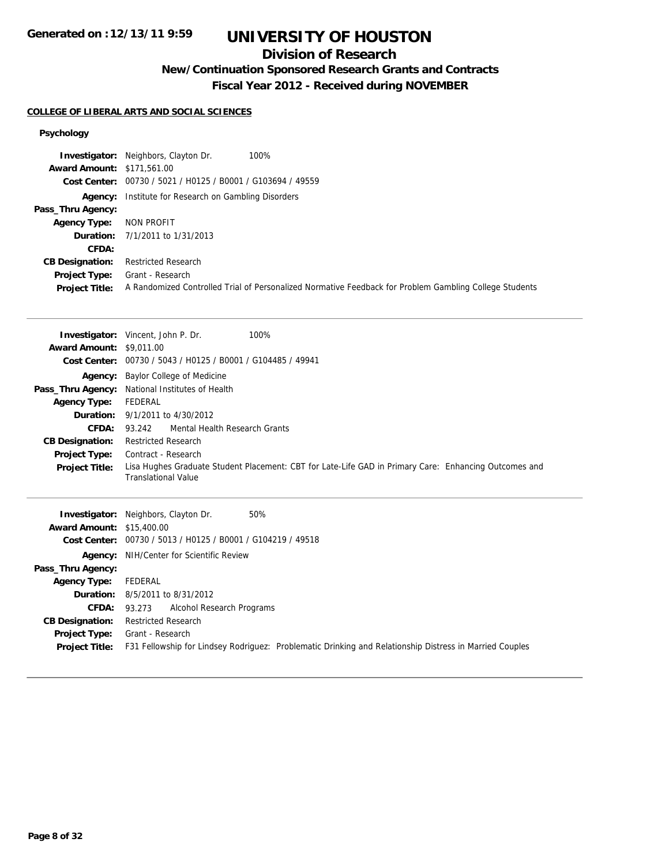## **Division of Research**

## **New/Continuation Sponsored Research Grants and Contracts**

**Fiscal Year 2012 - Received during NOVEMBER**

#### **COLLEGE OF LIBERAL ARTS AND SOCIAL SCIENCES**

#### **Psychology**

|                                   | 100%<br><b>Investigator:</b> Neighbors, Clayton Dr.                                                    |
|-----------------------------------|--------------------------------------------------------------------------------------------------------|
| <b>Award Amount: \$171,561.00</b> |                                                                                                        |
|                                   | Cost Center: 00730 / 5021 / H0125 / B0001 / G103694 / 49559                                            |
|                                   | <b>Agency:</b> Institute for Research on Gambling Disorders                                            |
| Pass_Thru Agency:                 |                                                                                                        |
| <b>Agency Type:</b>               | NON PROFIT                                                                                             |
|                                   | <b>Duration:</b> 7/1/2011 to 1/31/2013                                                                 |
| <b>CFDA:</b>                      |                                                                                                        |
| <b>CB Designation:</b>            | <b>Restricted Research</b>                                                                             |
| <b>Project Type:</b>              | Grant - Research                                                                                       |
| <b>Project Title:</b>             | A Randomized Controlled Trial of Personalized Normative Feedback for Problem Gambling College Students |

|                                  | 100%<br><b>Investigator:</b> Vincent, John P. Dr.                                                     |
|----------------------------------|-------------------------------------------------------------------------------------------------------|
| <b>Award Amount: \$9,011.00</b>  |                                                                                                       |
|                                  | Cost Center: 00730 / 5043 / H0125 / B0001 / G104485 / 49941                                           |
|                                  | <b>Agency:</b> Baylor College of Medicine                                                             |
|                                  | Pass_Thru Agency: National Institutes of Health                                                       |
| <b>Agency Type:</b>              | FEDERAL                                                                                               |
|                                  | <b>Duration:</b> 9/1/2011 to 4/30/2012                                                                |
| CFDA:                            | Mental Health Research Grants<br>93.242                                                               |
| <b>CB Designation:</b>           | <b>Restricted Research</b>                                                                            |
| <b>Project Type:</b>             | Contract - Research                                                                                   |
| <b>Project Title:</b>            | Lisa Hughes Graduate Student Placement: CBT for Late-Life GAD in Primary Care: Enhancing Outcomes and |
|                                  | <b>Translational Value</b>                                                                            |
|                                  |                                                                                                       |
|                                  |                                                                                                       |
|                                  | <b>Investigator:</b> Neighbors, Clayton Dr.<br>50%                                                    |
| <b>Award Amount: \$15,400.00</b> |                                                                                                       |
|                                  | Cost Center: 00730 / 5013 / H0125 / B0001 / G104219 / 49518                                           |
|                                  | Agency: NIH/Center for Scientific Review                                                              |
| Pass_Thru Agency:                |                                                                                                       |
| <b>Agency Type:</b>              | FEDERAL                                                                                               |
|                                  | <b>Duration:</b> 8/5/2011 to 8/31/2012                                                                |

**Project Title:** F31 Fellowship for Lindsey Rodriguez: Problematic Drinking and Relationship Distress in Married Couples

**CB Designation:** Restricted Research **Project Type:** Grant - Research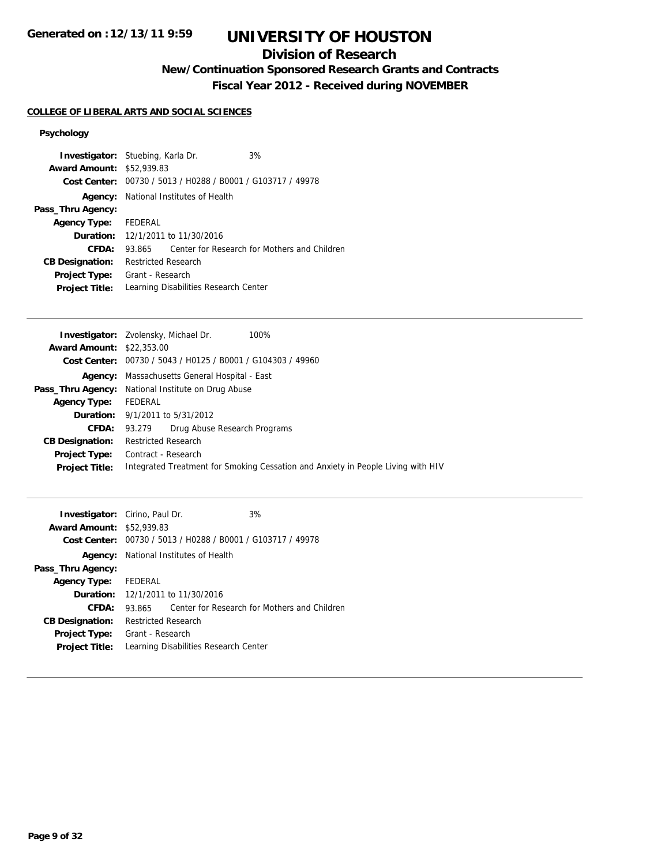## **Division of Research**

## **New/Continuation Sponsored Research Grants and Contracts**

**Fiscal Year 2012 - Received during NOVEMBER**

### **COLLEGE OF LIBERAL ARTS AND SOCIAL SCIENCES**

### **Psychology**

| <b>Investigator:</b> Stuebing, Karla Dr. |                                       |                                                             | 3%                                           |
|------------------------------------------|---------------------------------------|-------------------------------------------------------------|----------------------------------------------|
| <b>Award Amount: \$52,939.83</b>         |                                       |                                                             |                                              |
|                                          |                                       | Cost Center: 00730 / 5013 / H0288 / B0001 / G103717 / 49978 |                                              |
|                                          |                                       | <b>Agency:</b> National Institutes of Health                |                                              |
| Pass_Thru Agency:                        |                                       |                                                             |                                              |
| Agency Type: FEDERAL                     |                                       |                                                             |                                              |
|                                          |                                       | <b>Duration:</b> 12/1/2011 to 11/30/2016                    |                                              |
| <b>CFDA:</b>                             | 93.865                                |                                                             | Center for Research for Mothers and Children |
| <b>CB Designation:</b>                   | <b>Restricted Research</b>            |                                                             |                                              |
| <b>Project Type:</b>                     | Grant - Research                      |                                                             |                                              |
| <b>Project Title:</b>                    | Learning Disabilities Research Center |                                                             |                                              |

| <b>Award Amount: \$22,353,00</b><br>Cost Center: $00730 / 5043 / 40125 / 80001 / 6104303 / 49960$<br>Massachusetts General Hospital - East<br>Agency:<br>National Institute on Drug Abuse<br>Pass_Thru Agency:<br>FEDERAL<br><b>Agency Type:</b><br><b>Duration:</b> 9/1/2011 to 5/31/2012<br>CFDA:<br>Drug Abuse Research Programs<br>93.279<br><b>Restricted Research</b><br><b>CB Designation:</b><br>Contract - Research<br>Project Type:<br>Integrated Treatment for Smoking Cessation and Anxiety in People Living with HIV<br><b>Project Title:</b> | <b>Investigator:</b> Zvolensky, Michael Dr.<br>100% |
|------------------------------------------------------------------------------------------------------------------------------------------------------------------------------------------------------------------------------------------------------------------------------------------------------------------------------------------------------------------------------------------------------------------------------------------------------------------------------------------------------------------------------------------------------------|-----------------------------------------------------|
|                                                                                                                                                                                                                                                                                                                                                                                                                                                                                                                                                            |                                                     |
|                                                                                                                                                                                                                                                                                                                                                                                                                                                                                                                                                            |                                                     |
|                                                                                                                                                                                                                                                                                                                                                                                                                                                                                                                                                            |                                                     |
|                                                                                                                                                                                                                                                                                                                                                                                                                                                                                                                                                            |                                                     |
|                                                                                                                                                                                                                                                                                                                                                                                                                                                                                                                                                            |                                                     |
|                                                                                                                                                                                                                                                                                                                                                                                                                                                                                                                                                            |                                                     |
|                                                                                                                                                                                                                                                                                                                                                                                                                                                                                                                                                            |                                                     |
|                                                                                                                                                                                                                                                                                                                                                                                                                                                                                                                                                            |                                                     |
|                                                                                                                                                                                                                                                                                                                                                                                                                                                                                                                                                            |                                                     |
|                                                                                                                                                                                                                                                                                                                                                                                                                                                                                                                                                            |                                                     |

|                            |  | 3%                                                                                                                                                                                                                                                                                      |
|----------------------------|--|-----------------------------------------------------------------------------------------------------------------------------------------------------------------------------------------------------------------------------------------------------------------------------------------|
|                            |  |                                                                                                                                                                                                                                                                                         |
|                            |  |                                                                                                                                                                                                                                                                                         |
|                            |  |                                                                                                                                                                                                                                                                                         |
|                            |  |                                                                                                                                                                                                                                                                                         |
| Agency Type: FEDERAL       |  |                                                                                                                                                                                                                                                                                         |
|                            |  |                                                                                                                                                                                                                                                                                         |
|                            |  | Center for Research for Mothers and Children                                                                                                                                                                                                                                            |
| <b>Restricted Research</b> |  |                                                                                                                                                                                                                                                                                         |
| Grant - Research           |  |                                                                                                                                                                                                                                                                                         |
|                            |  |                                                                                                                                                                                                                                                                                         |
|                            |  | <b>Investigator:</b> Cirino, Paul Dr.<br><b>Award Amount: \$52,939.83</b><br>Cost Center: 00730 / 5013 / H0288 / B0001 / G103717 / 49978<br><b>Agency:</b> National Institutes of Health<br><b>Duration:</b> 12/1/2011 to 11/30/2016<br>93.865<br>Learning Disabilities Research Center |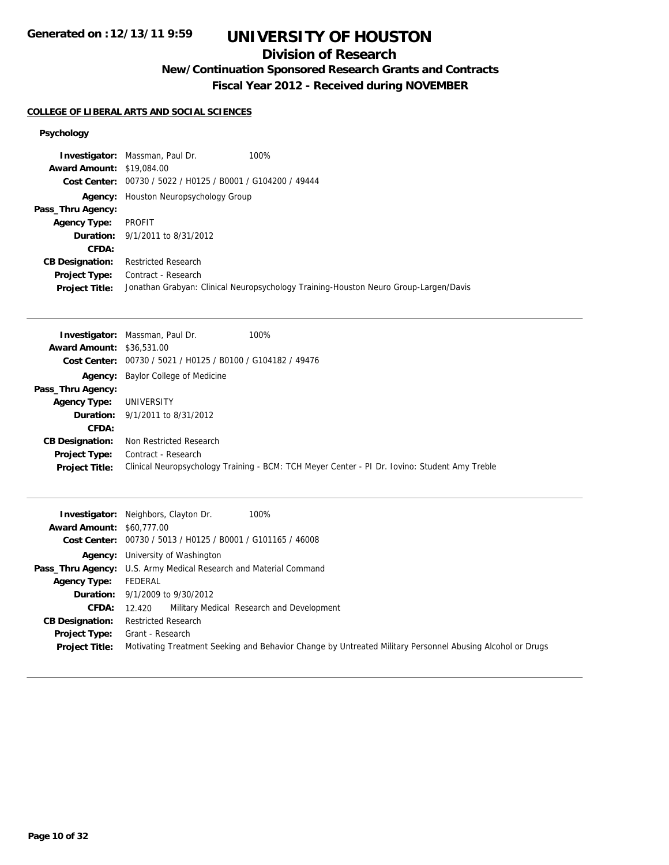## **Division of Research**

## **New/Continuation Sponsored Research Grants and Contracts**

**Fiscal Year 2012 - Received during NOVEMBER**

#### **COLLEGE OF LIBERAL ARTS AND SOCIAL SCIENCES**

#### **Psychology**

| <b>Award Amount: \$19,084.00</b> | <b>Investigator:</b> Massman, Paul Dr.                      | 100%                                                                                 |
|----------------------------------|-------------------------------------------------------------|--------------------------------------------------------------------------------------|
|                                  | Cost Center: 00730 / 5022 / H0125 / B0001 / G104200 / 49444 |                                                                                      |
|                                  |                                                             |                                                                                      |
| Agency:                          | Houston Neuropsychology Group                               |                                                                                      |
| Pass_Thru Agency:                |                                                             |                                                                                      |
| <b>Agency Type:</b>              | PROFIT                                                      |                                                                                      |
|                                  | <b>Duration:</b> 9/1/2011 to 8/31/2012                      |                                                                                      |
| CFDA:                            |                                                             |                                                                                      |
| <b>CB Designation:</b>           | <b>Restricted Research</b>                                  |                                                                                      |
| Project Type:                    | Contract - Research                                         |                                                                                      |
| <b>Project Title:</b>            |                                                             | Jonathan Grabyan: Clinical Neuropsychology Training-Houston Neuro Group-Largen/Davis |

|                                  | <b>Investigator:</b> Massman, Paul Dr.                      | 100%                                                                                          |
|----------------------------------|-------------------------------------------------------------|-----------------------------------------------------------------------------------------------|
| <b>Award Amount: \$36,531,00</b> |                                                             |                                                                                               |
|                                  | Cost Center: 00730 / 5021 / H0125 / B0100 / G104182 / 49476 |                                                                                               |
| Agency:                          | <b>Baylor College of Medicine</b>                           |                                                                                               |
| Pass_Thru Agency:                |                                                             |                                                                                               |
| <b>Agency Type:</b>              | UNIVERSITY                                                  |                                                                                               |
|                                  | <b>Duration:</b> $9/1/2011$ to $8/31/2012$                  |                                                                                               |
| CFDA:                            |                                                             |                                                                                               |
| <b>CB Designation:</b>           | Non Restricted Research                                     |                                                                                               |
| <b>Project Type:</b>             | Contract - Research                                         |                                                                                               |
| <b>Project Title:</b>            |                                                             | Clinical Neuropsychology Training - BCM: TCH Meyer Center - PI Dr. Iovino: Student Amy Treble |

| <b>Award Amount: \$60,777,00</b>              | 100%<br><b>Investigator:</b> Neighbors, Clayton Dr.<br>Cost Center: 00730 / 5013 / H0125 / B0001 / G101165 / 46008            |
|-----------------------------------------------|-------------------------------------------------------------------------------------------------------------------------------|
|                                               | <b>Agency:</b> University of Washington                                                                                       |
|                                               | Pass_Thru Agency: U.S. Army Medical Research and Material Command                                                             |
| Agency Type:                                  | FEDERAL                                                                                                                       |
|                                               | <b>Duration:</b> $9/1/2009$ to $9/30/2012$                                                                                    |
| <b>CFDA:</b>                                  | Military Medical Research and Development<br>12.420                                                                           |
| <b>CB Designation:</b>                        | <b>Restricted Research</b>                                                                                                    |
| <b>Project Type:</b><br><b>Project Title:</b> | Grant - Research<br>Motivating Treatment Seeking and Behavior Change by Untreated Military Personnel Abusing Alcohol or Drugs |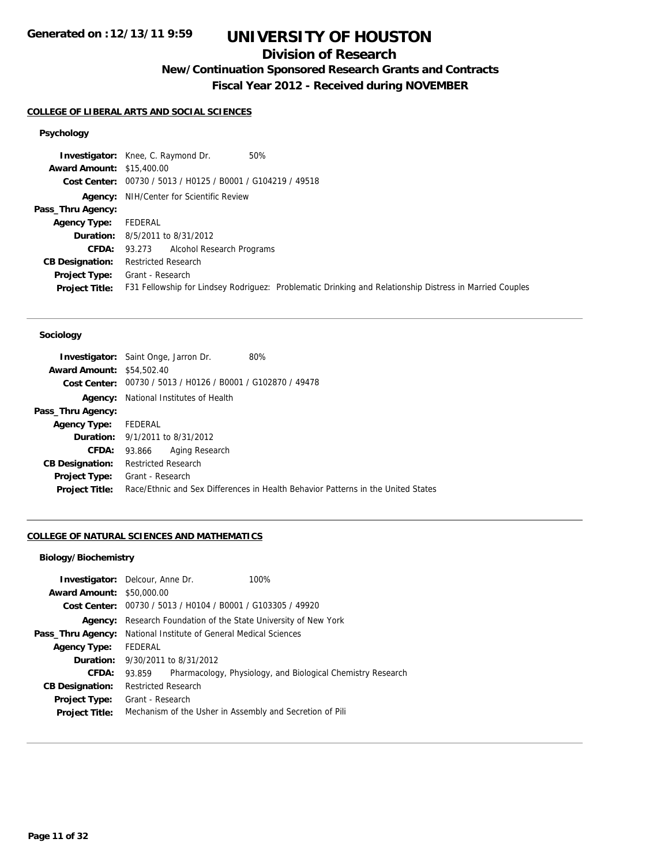## **Division of Research**

## **New/Continuation Sponsored Research Grants and Contracts**

**Fiscal Year 2012 - Received during NOVEMBER**

#### **COLLEGE OF LIBERAL ARTS AND SOCIAL SCIENCES**

## **Psychology**

|                                  | 50%<br><b>Investigator:</b> Knee, C. Raymond Dr.                                                        |
|----------------------------------|---------------------------------------------------------------------------------------------------------|
| <b>Award Amount: \$15,400.00</b> |                                                                                                         |
|                                  | Cost Center: 00730 / 5013 / H0125 / B0001 / G104219 / 49518                                             |
|                                  | <b>Agency:</b> NIH/Center for Scientific Review                                                         |
| Pass_Thru Agency:                |                                                                                                         |
| <b>Agency Type:</b>              | FEDERAL                                                                                                 |
|                                  | <b>Duration:</b> 8/5/2011 to 8/31/2012                                                                  |
| <b>CFDA:</b>                     | 93.273 Alcohol Research Programs                                                                        |
| <b>CB Designation:</b>           | <b>Restricted Research</b>                                                                              |
| Project Type:                    | Grant - Research                                                                                        |
| <b>Project Title:</b>            | F31 Fellowship for Lindsey Rodriguez: Problematic Drinking and Relationship Distress in Married Couples |

#### **Sociology**

|                                  | <b>Investigator:</b> Saint Onge, Jarron Dr.    | 80%                                                                              |
|----------------------------------|------------------------------------------------|----------------------------------------------------------------------------------|
| <b>Award Amount: \$54,502.40</b> |                                                |                                                                                  |
| Cost Center:                     | 00730 / 5013 / H0126 / B0001 / G102870 / 49478 |                                                                                  |
| Agency:                          | National Institutes of Health                  |                                                                                  |
| Pass_Thru Agency:                |                                                |                                                                                  |
| <b>Agency Type:</b>              | FEDERAL                                        |                                                                                  |
|                                  | <b>Duration:</b> 9/1/2011 to 8/31/2012         |                                                                                  |
| CFDA:                            | Aging Research<br>93.866                       |                                                                                  |
| <b>CB Designation:</b>           | <b>Restricted Research</b>                     |                                                                                  |
| <b>Project Type:</b>             | Grant - Research                               |                                                                                  |
| <b>Project Title:</b>            |                                                | Race/Ethnic and Sex Differences in Health Behavior Patterns in the United States |

#### **COLLEGE OF NATURAL SCIENCES AND MATHEMATICS**

#### **Biology/Biochemistry**

|                                  | <b>Investigator:</b> Delcour, Anne Dr.         | 100%                                                        |
|----------------------------------|------------------------------------------------|-------------------------------------------------------------|
| <b>Award Amount: \$50,000.00</b> |                                                |                                                             |
|                                  |                                                | Cost Center: 00730 / 5013 / H0104 / B0001 / G103305 / 49920 |
| Agency:                          |                                                | Research Foundation of the State University of New York     |
| Pass_Thru Agency:                | National Institute of General Medical Sciences |                                                             |
| <b>Agency Type:</b>              | FEDERAL                                        |                                                             |
| Duration:                        | 9/30/2011 to 8/31/2012                         |                                                             |
| CFDA:                            | 93.859                                         | Pharmacology, Physiology, and Biological Chemistry Research |
| <b>CB Designation:</b>           | <b>Restricted Research</b>                     |                                                             |
| Project Type:                    | Grant - Research                               |                                                             |
| <b>Project Title:</b>            |                                                | Mechanism of the Usher in Assembly and Secretion of Pili    |
|                                  |                                                |                                                             |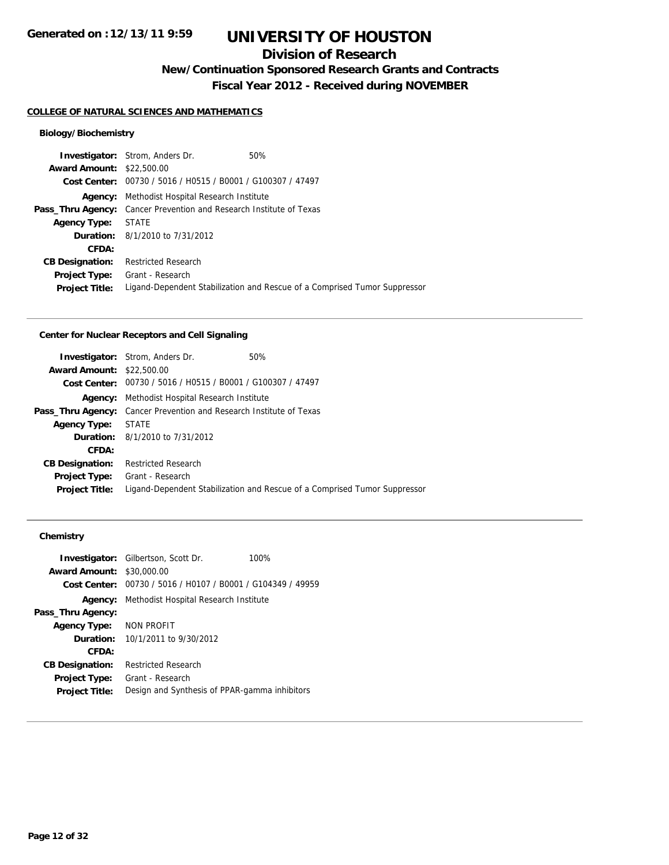### **Division of Research**

**New/Continuation Sponsored Research Grants and Contracts**

**Fiscal Year 2012 - Received during NOVEMBER**

#### **COLLEGE OF NATURAL SCIENCES AND MATHEMATICS**

#### **Biology/Biochemistry**

| <b>Investigator:</b> Strom, Anders Dr.                                     | 50%                                                                       |
|----------------------------------------------------------------------------|---------------------------------------------------------------------------|
| <b>Award Amount: \$22,500.00</b>                                           |                                                                           |
| Cost Center: 00730 / 5016 / H0515 / B0001 / G100307 / 47497                |                                                                           |
| Methodist Hospital Research Institute<br>Agency:                           |                                                                           |
| <b>Pass_Thru Agency:</b> Cancer Prevention and Research Institute of Texas |                                                                           |
| <b>Agency Type: STATE</b>                                                  |                                                                           |
| <b>Duration:</b> 8/1/2010 to 7/31/2012                                     |                                                                           |
|                                                                            |                                                                           |
| <b>Restricted Research</b>                                                 |                                                                           |
| Grant - Research                                                           |                                                                           |
|                                                                            | Ligand-Dependent Stabilization and Rescue of a Comprised Tumor Suppressor |
|                                                                            |                                                                           |

#### **Center for Nuclear Receptors and Cell Signaling**

|                                  | <b>Investigator:</b> Strom, Anders Dr.<br>50%                              |  |
|----------------------------------|----------------------------------------------------------------------------|--|
| <b>Award Amount: \$22,500.00</b> |                                                                            |  |
|                                  | Cost Center: 00730 / 5016 / H0515 / B0001 / G100307 / 47497                |  |
| Agency:                          | Methodist Hospital Research Institute                                      |  |
|                                  | <b>Pass_Thru Agency:</b> Cancer Prevention and Research Institute of Texas |  |
| <b>Agency Type:</b>              | <b>STATE</b>                                                               |  |
|                                  | <b>Duration:</b> 8/1/2010 to 7/31/2012                                     |  |
| CFDA:                            |                                                                            |  |
| <b>CB Designation:</b>           | <b>Restricted Research</b>                                                 |  |
|                                  | <b>Project Type:</b> Grant - Research                                      |  |
| <b>Project Title:</b>            | Ligand-Dependent Stabilization and Rescue of a Comprised Tumor Suppressor  |  |
|                                  |                                                                            |  |

## **Chemistry**

|                        | <b>Investigator:</b> Gilbertson, Scott Dr.     | 100% |
|------------------------|------------------------------------------------|------|
| <b>Award Amount:</b>   | \$30,000.00                                    |      |
| Cost Center:           | 00730 / 5016 / H0107 / B0001 / G104349 / 49959 |      |
| Agency:                | Methodist Hospital Research Institute          |      |
| Pass_Thru Agency:      |                                                |      |
| <b>Agency Type:</b>    | NON PROFIT                                     |      |
| <b>Duration:</b>       | 10/1/2011 to 9/30/2012                         |      |
| CFDA:                  |                                                |      |
| <b>CB Designation:</b> | <b>Restricted Research</b>                     |      |
| <b>Project Type:</b>   | Grant - Research                               |      |
| <b>Project Title:</b>  | Design and Synthesis of PPAR-gamma inhibitors  |      |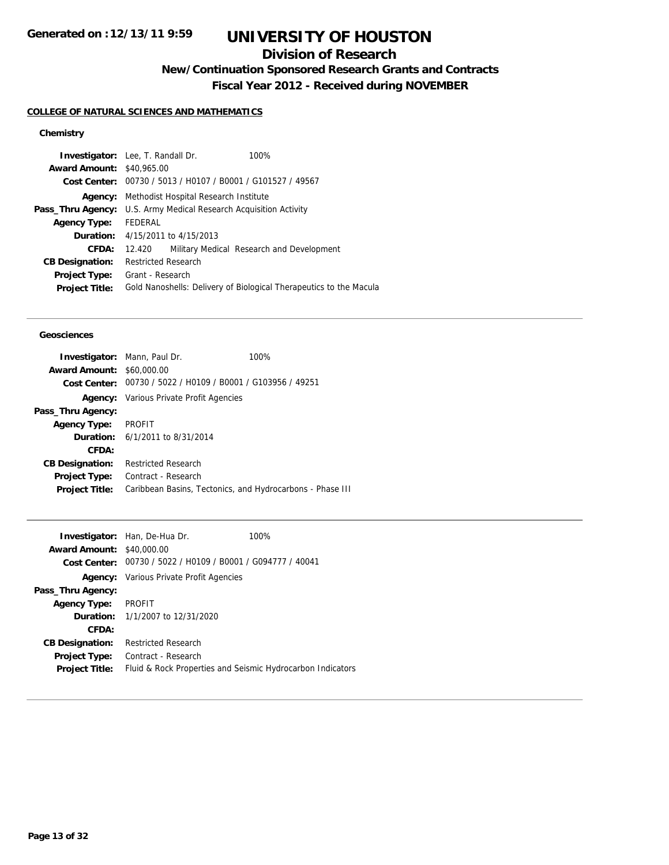## **Division of Research**

**New/Continuation Sponsored Research Grants and Contracts**

**Fiscal Year 2012 - Received during NOVEMBER**

#### **COLLEGE OF NATURAL SCIENCES AND MATHEMATICS**

#### **Chemistry**

| <b>Award Amount: \$40,965.00</b><br>Cost Center: 00730 / 5013 / H0107 / B0001 / G101527 / 49567<br>Methodist Hospital Research Institute<br>Agency:<br>U.S. Army Medical Research Acquisition Activity<br>Pass_Thru Agency:<br>FEDERAL<br><b>Agency Type:</b><br><b>Duration:</b> $4/15/2011$ to $4/15/2013$<br>CFDA:<br>Military Medical Research and Development<br>12.420<br><b>Restricted Research</b><br><b>CB Designation:</b><br>Grant - Research |               | <b>Investigator:</b> Lee, T. Randall Dr. | 100% |
|----------------------------------------------------------------------------------------------------------------------------------------------------------------------------------------------------------------------------------------------------------------------------------------------------------------------------------------------------------------------------------------------------------------------------------------------------------|---------------|------------------------------------------|------|
|                                                                                                                                                                                                                                                                                                                                                                                                                                                          |               |                                          |      |
|                                                                                                                                                                                                                                                                                                                                                                                                                                                          |               |                                          |      |
|                                                                                                                                                                                                                                                                                                                                                                                                                                                          |               |                                          |      |
|                                                                                                                                                                                                                                                                                                                                                                                                                                                          |               |                                          |      |
|                                                                                                                                                                                                                                                                                                                                                                                                                                                          |               |                                          |      |
|                                                                                                                                                                                                                                                                                                                                                                                                                                                          |               |                                          |      |
|                                                                                                                                                                                                                                                                                                                                                                                                                                                          |               |                                          |      |
|                                                                                                                                                                                                                                                                                                                                                                                                                                                          |               |                                          |      |
|                                                                                                                                                                                                                                                                                                                                                                                                                                                          | Project Type: |                                          |      |
| Gold Nanoshells: Delivery of Biological Therapeutics to the Macula<br><b>Project Title:</b>                                                                                                                                                                                                                                                                                                                                                              |               |                                          |      |

#### **Geosciences**

| <b>Investigator:</b> Mann, Paul Dr. |                                                             | 100% |
|-------------------------------------|-------------------------------------------------------------|------|
| <b>Award Amount:</b>                | \$60,000.00                                                 |      |
|                                     | Cost Center: 00730 / 5022 / H0109 / B0001 / G103956 / 49251 |      |
|                                     | <b>Agency:</b> Various Private Profit Agencies              |      |
| Pass_Thru Agency:                   |                                                             |      |
| <b>Agency Type:</b>                 | PROFIT                                                      |      |
|                                     | <b>Duration:</b> 6/1/2011 to 8/31/2014                      |      |
| CFDA:                               |                                                             |      |
| <b>CB Designation:</b>              | <b>Restricted Research</b>                                  |      |
| <b>Project Type:</b>                | Contract - Research                                         |      |
| <b>Project Title:</b>               | Caribbean Basins, Tectonics, and Hydrocarbons - Phase III   |      |
|                                     |                                                             |      |

|                                  | <b>Investigator:</b> Han, De-Hua Dr.                        | 100% |
|----------------------------------|-------------------------------------------------------------|------|
| <b>Award Amount: \$40,000.00</b> |                                                             |      |
|                                  | Cost Center: 00730 / 5022 / H0109 / B0001 / G094777 / 40041 |      |
|                                  | <b>Agency:</b> Various Private Profit Agencies              |      |
| Pass_Thru Agency:                |                                                             |      |
| Agency Type: PROFIT              |                                                             |      |
|                                  | <b>Duration:</b> $1/1/2007$ to $12/31/2020$                 |      |
| CFDA:                            |                                                             |      |
| <b>CB Designation:</b>           | <b>Restricted Research</b>                                  |      |
| <b>Project Type:</b>             | Contract - Research                                         |      |
| <b>Project Title:</b>            | Fluid & Rock Properties and Seismic Hydrocarbon Indicators  |      |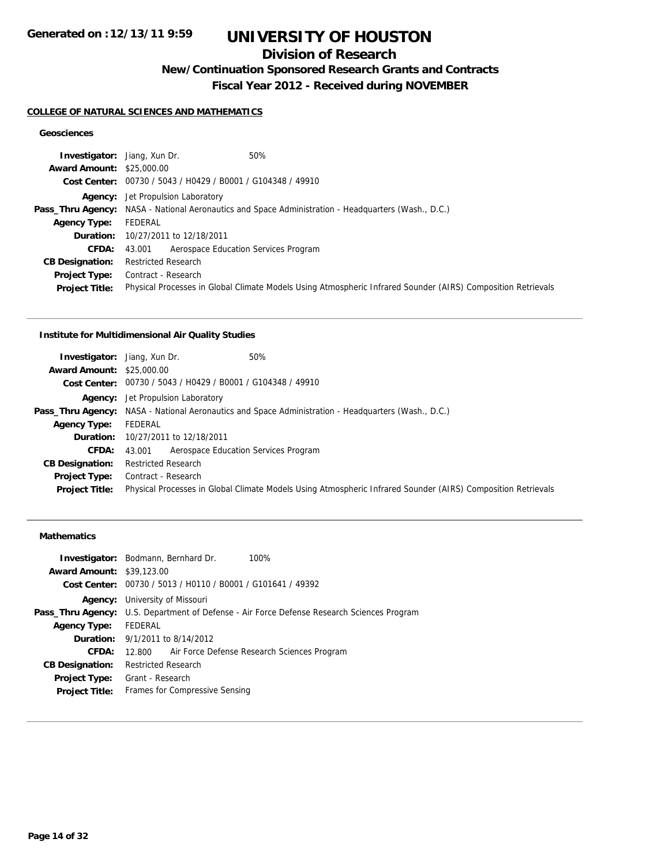## **Division of Research**

**New/Continuation Sponsored Research Grants and Contracts**

**Fiscal Year 2012 - Received during NOVEMBER**

#### **COLLEGE OF NATURAL SCIENCES AND MATHEMATICS**

#### **Geosciences**

| 50%<br><b>Investigator:</b> Jiang, Xun Dr.                                                                   |
|--------------------------------------------------------------------------------------------------------------|
| <b>Award Amount: \$25,000.00</b>                                                                             |
| Cost Center: 00730 / 5043 / H0429 / B0001 / G104348 / 49910                                                  |
| <b>Agency:</b> Jet Propulsion Laboratory                                                                     |
| <b>Pass_Thru Agency:</b> NASA - National Aeronautics and Space Administration - Headquarters (Wash., D.C.)   |
| FEDERAL                                                                                                      |
| 10/27/2011 to 12/18/2011                                                                                     |
| Aerospace Education Services Program<br>43.001                                                               |
| <b>Restricted Research</b>                                                                                   |
| Contract - Research                                                                                          |
| Physical Processes in Global Climate Models Using Atmospheric Infrared Sounder (AIRS) Composition Retrievals |
|                                                                                                              |

#### **Institute for Multidimensional Air Quality Studies**

| <b>Investigator:</b> Jiang, Xun Dr. | 50%                                                         |                                                                                                              |
|-------------------------------------|-------------------------------------------------------------|--------------------------------------------------------------------------------------------------------------|
| <b>Award Amount: \$25,000.00</b>    |                                                             |                                                                                                              |
|                                     | Cost Center: 00730 / 5043 / H0429 / B0001 / G104348 / 49910 |                                                                                                              |
|                                     | <b>Agency:</b> Jet Propulsion Laboratory                    |                                                                                                              |
|                                     |                                                             | <b>Pass_Thru Agency:</b> NASA - National Aeronautics and Space Administration - Headquarters (Wash., D.C.)   |
| <b>Agency Type:</b>                 | FEDERAL                                                     |                                                                                                              |
|                                     | <b>Duration:</b> 10/27/2011 to 12/18/2011                   |                                                                                                              |
| CFDA:                               | Aerospace Education Services Program<br>43.001              |                                                                                                              |
| <b>CB Designation:</b>              | <b>Restricted Research</b>                                  |                                                                                                              |
| Project Type:                       | Contract - Research                                         |                                                                                                              |
| <b>Project Title:</b>               |                                                             | Physical Processes in Global Climate Models Using Atmospheric Infrared Sounder (AIRS) Composition Retrievals |

#### **Mathematics**

|                                  | <b>Investigator:</b> Bodmann, Bernhard Dr.                                                        | 100% |  |
|----------------------------------|---------------------------------------------------------------------------------------------------|------|--|
| <b>Award Amount: \$39,123.00</b> |                                                                                                   |      |  |
|                                  | Cost Center: 00730 / 5013 / H0110 / B0001 / G101641 / 49392                                       |      |  |
|                                  | <b>Agency:</b> University of Missouri                                                             |      |  |
|                                  | <b>Pass_Thru Agency:</b> U.S. Department of Defense - Air Force Defense Research Sciences Program |      |  |
| <b>Agency Type:</b>              | FEDERAL                                                                                           |      |  |
|                                  | <b>Duration:</b> 9/1/2011 to 8/14/2012                                                            |      |  |
| CFDA:                            | 12.800 Air Force Defense Research Sciences Program                                                |      |  |
| <b>CB Designation:</b>           | <b>Restricted Research</b>                                                                        |      |  |
|                                  | <b>Project Type:</b> Grant - Research                                                             |      |  |
| <b>Project Title:</b>            | Frames for Compressive Sensing                                                                    |      |  |
|                                  |                                                                                                   |      |  |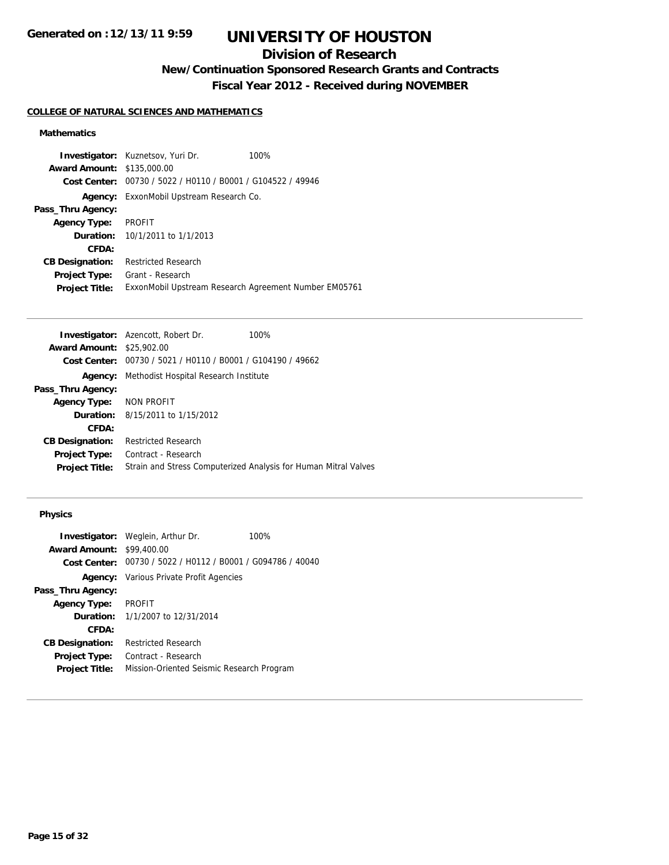## **Division of Research**

**New/Continuation Sponsored Research Grants and Contracts**

**Fiscal Year 2012 - Received during NOVEMBER**

#### **COLLEGE OF NATURAL SCIENCES AND MATHEMATICS**

#### **Mathematics**

|                                   | <b>Investigator:</b> Kuznetsov, Yuri Dr.                    | 100% |
|-----------------------------------|-------------------------------------------------------------|------|
| <b>Award Amount: \$135,000.00</b> |                                                             |      |
|                                   | Cost Center: 00730 / 5022 / H0110 / B0001 / G104522 / 49946 |      |
|                                   | <b>Agency:</b> ExxonMobil Upstream Research Co.             |      |
| Pass_Thru Agency:                 |                                                             |      |
| <b>Agency Type:</b>               | <b>PROFIT</b>                                               |      |
|                                   | <b>Duration:</b> $10/1/2011$ to $1/1/2013$                  |      |
| CFDA:                             |                                                             |      |
| <b>CB Designation:</b>            | <b>Restricted Research</b>                                  |      |
| <b>Project Type:</b>              | Grant - Research                                            |      |
| <b>Project Title:</b>             | ExxonMobil Upstream Research Agreement Number EM05761       |      |

|                                  | <b>Investigator:</b> Azencott, Robert Dr.                   | 100%                                                            |
|----------------------------------|-------------------------------------------------------------|-----------------------------------------------------------------|
| <b>Award Amount: \$25,902.00</b> |                                                             |                                                                 |
|                                  | Cost Center: 00730 / 5021 / H0110 / B0001 / G104190 / 49662 |                                                                 |
| Agency:                          | Methodist Hospital Research Institute                       |                                                                 |
| Pass_Thru Agency:                |                                                             |                                                                 |
| <b>Agency Type:</b>              | NON PROFIT                                                  |                                                                 |
|                                  | <b>Duration:</b> 8/15/2011 to 1/15/2012                     |                                                                 |
| CFDA:                            |                                                             |                                                                 |
| <b>CB Designation:</b>           | <b>Restricted Research</b>                                  |                                                                 |
| Project Type:                    | Contract - Research                                         |                                                                 |
| <b>Project Title:</b>            |                                                             | Strain and Stress Computerized Analysis for Human Mitral Valves |
|                                  |                                                             |                                                                 |

#### **Physics**

|                                  | <b>Investigator:</b> Weglein, Arthur Dr.                    | 100% |
|----------------------------------|-------------------------------------------------------------|------|
| <b>Award Amount: \$99,400.00</b> |                                                             |      |
|                                  | Cost Center: 00730 / 5022 / H0112 / B0001 / G094786 / 40040 |      |
|                                  | <b>Agency:</b> Various Private Profit Agencies              |      |
| Pass_Thru Agency:                |                                                             |      |
| <b>Agency Type:</b>              | <b>PROFIT</b>                                               |      |
|                                  | <b>Duration:</b> 1/1/2007 to 12/31/2014                     |      |
| CFDA:                            |                                                             |      |
| <b>CB Designation:</b>           | <b>Restricted Research</b>                                  |      |
| Project Type:                    | Contract - Research                                         |      |
| <b>Project Title:</b>            | Mission-Oriented Seismic Research Program                   |      |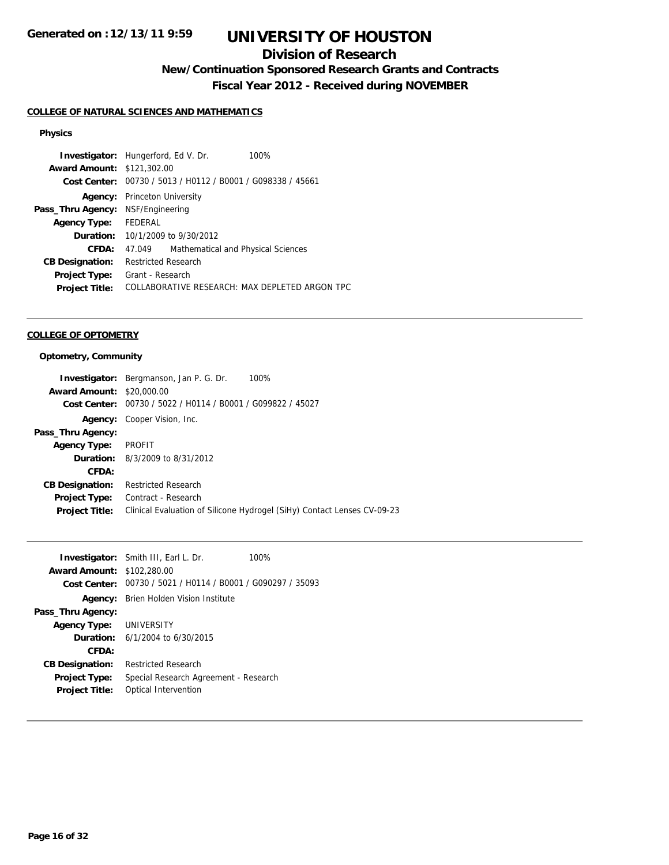## **Division of Research**

**New/Continuation Sponsored Research Grants and Contracts**

**Fiscal Year 2012 - Received during NOVEMBER**

#### **COLLEGE OF NATURAL SCIENCES AND MATHEMATICS**

#### **Physics**

| <b>Award Amount: \$121,302.00</b><br>Cost Center: 00730 / 5013 / H0112 / B0001 / G098338 / 45661<br>Princeton University<br>Agency:<br>NSF/Engineering<br>FEDERAL<br><b>Agency Type:</b><br><b>Duration:</b> 10/1/2009 to 9/30/2012<br>CFDA:<br>Mathematical and Physical Sciences<br>47.049<br>Restricted Research<br><b>CB Designation:</b><br>Grant - Research<br><b>Project Type:</b><br><b>Project Title:</b> |                   | <b>Investigator:</b> Hungerford, Ed V. Dr.     | 100% |  |
|--------------------------------------------------------------------------------------------------------------------------------------------------------------------------------------------------------------------------------------------------------------------------------------------------------------------------------------------------------------------------------------------------------------------|-------------------|------------------------------------------------|------|--|
|                                                                                                                                                                                                                                                                                                                                                                                                                    |                   |                                                |      |  |
|                                                                                                                                                                                                                                                                                                                                                                                                                    |                   |                                                |      |  |
|                                                                                                                                                                                                                                                                                                                                                                                                                    |                   |                                                |      |  |
|                                                                                                                                                                                                                                                                                                                                                                                                                    | Pass_Thru Agency: |                                                |      |  |
|                                                                                                                                                                                                                                                                                                                                                                                                                    |                   |                                                |      |  |
|                                                                                                                                                                                                                                                                                                                                                                                                                    |                   |                                                |      |  |
|                                                                                                                                                                                                                                                                                                                                                                                                                    |                   |                                                |      |  |
|                                                                                                                                                                                                                                                                                                                                                                                                                    |                   |                                                |      |  |
|                                                                                                                                                                                                                                                                                                                                                                                                                    |                   |                                                |      |  |
|                                                                                                                                                                                                                                                                                                                                                                                                                    |                   | COLLABORATIVE RESEARCH: MAX DEPLETED ARGON TPC |      |  |

#### **COLLEGE OF OPTOMETRY**

#### **Optometry, Community**

|                        | 100%<br><b>Investigator:</b> Bergmanson, Jan P. G. Dr.                  |
|------------------------|-------------------------------------------------------------------------|
| <b>Award Amount:</b>   | \$20,000.00                                                             |
|                        | Cost Center: 00730 / 5022 / H0114 / B0001 / G099822 / 45027             |
|                        | <b>Agency:</b> Cooper Vision, Inc.                                      |
| Pass_Thru Agency:      |                                                                         |
| <b>Agency Type:</b>    | <b>PROFIT</b>                                                           |
|                        | <b>Duration:</b> 8/3/2009 to 8/31/2012                                  |
| CFDA:                  |                                                                         |
| <b>CB Designation:</b> | <b>Restricted Research</b>                                              |
| <b>Project Type:</b>   | Contract - Research                                                     |
| <b>Project Title:</b>  | Clinical Evaluation of Silicone Hydrogel (SiHy) Contact Lenses CV-09-23 |
|                        |                                                                         |

|                                   | <b>Investigator:</b> Smith III, Earl L. Dr.                 | 100% |
|-----------------------------------|-------------------------------------------------------------|------|
| <b>Award Amount: \$102,280.00</b> |                                                             |      |
|                                   | Cost Center: 00730 / 5021 / H0114 / B0001 / G090297 / 35093 |      |
|                                   | <b>Agency:</b> Brien Holden Vision Institute                |      |
| Pass_Thru Agency:                 |                                                             |      |
| Agency Type: UNIVERSITY           |                                                             |      |
|                                   | <b>Duration:</b> $6/1/2004$ to $6/30/2015$                  |      |
| CFDA:                             |                                                             |      |
| <b>CB Designation:</b>            | <b>Restricted Research</b>                                  |      |
| <b>Project Type:</b>              | Special Research Agreement - Research                       |      |
| <b>Project Title:</b>             | Optical Intervention                                        |      |
|                                   |                                                             |      |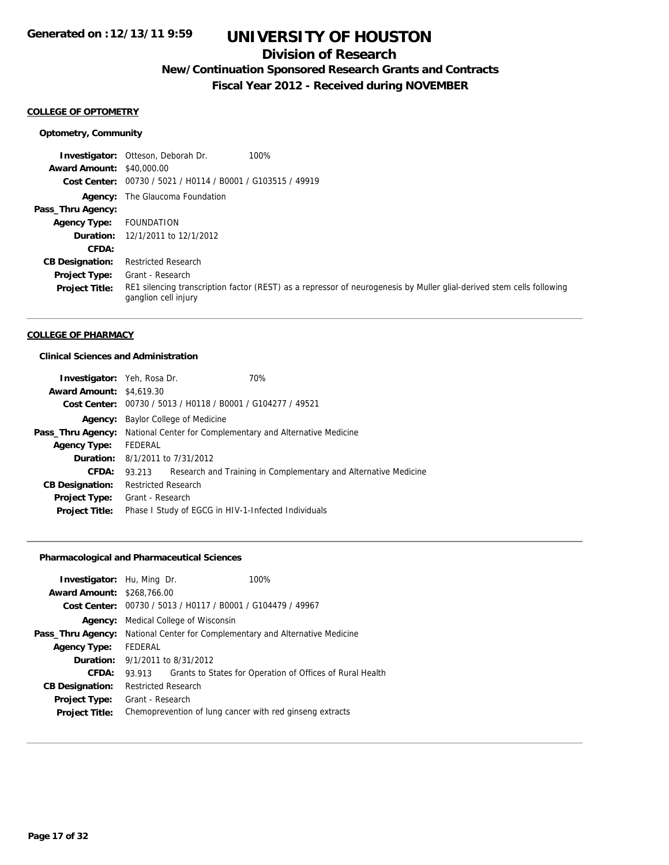## **Division of Research**

## **New/Continuation Sponsored Research Grants and Contracts**

**Fiscal Year 2012 - Received during NOVEMBER**

#### **COLLEGE OF OPTOMETRY**

#### **Optometry, Community**

**Investigator:** Otteson, Deborah Dr. 100% **Award Amount:** \$40,000.00 **Cost Center:** 00730 / 5021 / H0114 / B0001 / G103515 / 49919 **Agency:** The Glaucoma Foundation **Pass\_Thru Agency: Agency Type:** FOUNDATION **Duration:** 12/1/2011 to 12/1/2012 **CFDA: CB Designation:** Restricted Research **Project Type: Project Title:** RE1 silencing transcription factor (REST) as a repressor of neurogenesis by Muller glial-derived stem cells following ganglion cell injury Grant - Research

#### **COLLEGE OF PHARMACY**

#### **Clinical Sciences and Administration**

| <b>Investigator:</b> Yeh, Rosa Dr. |                                                                                     |                                                             | 70%                                                             |
|------------------------------------|-------------------------------------------------------------------------------------|-------------------------------------------------------------|-----------------------------------------------------------------|
| <b>Award Amount: \$4,619.30</b>    |                                                                                     |                                                             |                                                                 |
|                                    |                                                                                     | Cost Center: 00730 / 5013 / H0118 / B0001 / G104277 / 49521 |                                                                 |
| Agency:                            | Baylor College of Medicine                                                          |                                                             |                                                                 |
|                                    | <b>Pass_Thru Agency:</b> National Center for Complementary and Alternative Medicine |                                                             |                                                                 |
| <b>Agency Type:</b>                | FEDERAL                                                                             |                                                             |                                                                 |
|                                    | <b>Duration:</b> 8/1/2011 to 7/31/2012                                              |                                                             |                                                                 |
| CFDA:                              | 93.213                                                                              |                                                             | Research and Training in Complementary and Alternative Medicine |
| <b>CB Designation:</b>             | <b>Restricted Research</b>                                                          |                                                             |                                                                 |
| <b>Project Type:</b>               | Grant - Research                                                                    |                                                             |                                                                 |
| <b>Project Title:</b>              |                                                                                     |                                                             | Phase I Study of EGCG in HIV-1-Infected Individuals             |
|                                    |                                                                                     |                                                             |                                                                 |

#### **Pharmacological and Pharmaceutical Sciences**

|                                                            |  | 100%                                                                                                                                               |
|------------------------------------------------------------|--|----------------------------------------------------------------------------------------------------------------------------------------------------|
| <b>Award Amount: \$268,766.00</b>                          |  |                                                                                                                                                    |
|                                                            |  |                                                                                                                                                    |
| Medical College of Wisconsin                               |  |                                                                                                                                                    |
| National Center for Complementary and Alternative Medicine |  |                                                                                                                                                    |
| FEDERAL                                                    |  |                                                                                                                                                    |
| 9/1/2011 to 8/31/2012<br><b>Duration:</b>                  |  |                                                                                                                                                    |
| 93.913                                                     |  | Grants to States for Operation of Offices of Rural Health                                                                                          |
|                                                            |  |                                                                                                                                                    |
|                                                            |  |                                                                                                                                                    |
| Chemoprevention of lung cancer with red ginseng extracts   |  |                                                                                                                                                    |
|                                                            |  | <b>Investigator:</b> Hu, Ming Dr.<br>Cost Center: 00730 / 5013 / H0117 / B0001 / G104479 / 49967<br><b>Restricted Research</b><br>Grant - Research |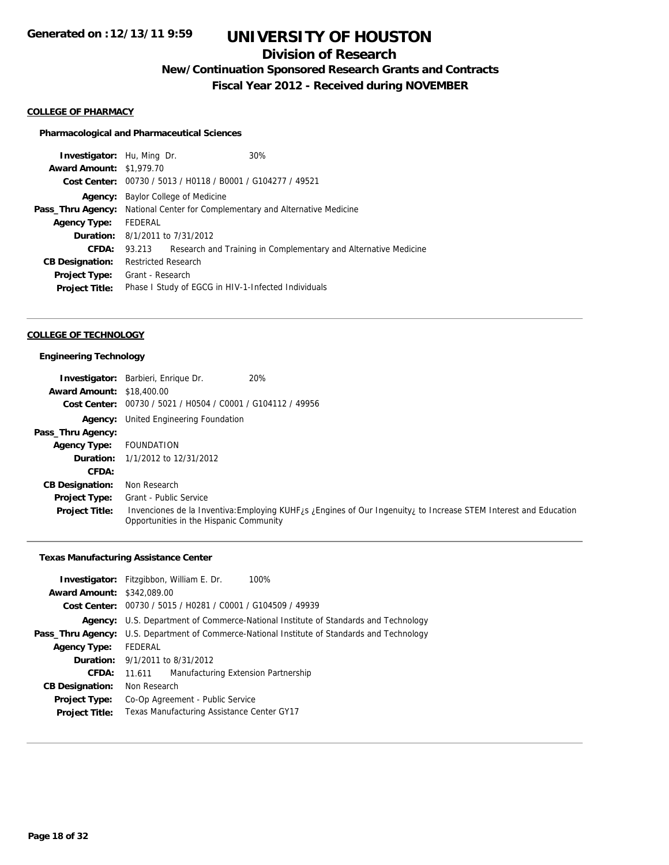## **Division of Research**

**New/Continuation Sponsored Research Grants and Contracts**

**Fiscal Year 2012 - Received during NOVEMBER**

#### **COLLEGE OF PHARMACY**

#### **Pharmacological and Pharmaceutical Sciences**

| <b>Investigator:</b> Hu, Ming Dr.      |                                                            |                                                             | 30%                                                             |
|----------------------------------------|------------------------------------------------------------|-------------------------------------------------------------|-----------------------------------------------------------------|
| <b>Award Amount: \$1,979.70</b>        |                                                            |                                                             |                                                                 |
|                                        |                                                            | Cost Center: 00730 / 5013 / H0118 / B0001 / G104277 / 49521 |                                                                 |
| Agency:                                | Baylor College of Medicine                                 |                                                             |                                                                 |
| Pass_Thru Agency:                      | National Center for Complementary and Alternative Medicine |                                                             |                                                                 |
| <b>Agency Type:</b>                    | FEDERAL                                                    |                                                             |                                                                 |
| <b>Duration:</b> 8/1/2011 to 7/31/2012 |                                                            |                                                             |                                                                 |
| <b>CFDA:</b>                           | 93.213                                                     |                                                             | Research and Training in Complementary and Alternative Medicine |
| <b>CB Designation:</b>                 | <b>Restricted Research</b>                                 |                                                             |                                                                 |
| Project Type:                          | Grant - Research                                           |                                                             |                                                                 |
| <b>Project Title:</b>                  |                                                            |                                                             | Phase I Study of EGCG in HIV-1-Infected Individuals             |
|                                        |                                                            |                                                             |                                                                 |

#### **COLLEGE OF TECHNOLOGY**

#### **Engineering Technology**

|                                  | <b>Investigator:</b> Barbieri, Enrique Dr.     | 20%                                                                                                                          |
|----------------------------------|------------------------------------------------|------------------------------------------------------------------------------------------------------------------------------|
| <b>Award Amount: \$18,400.00</b> |                                                |                                                                                                                              |
| Cost Center:                     | 00730 / 5021 / H0504 / C0001 / G104112 / 49956 |                                                                                                                              |
| Agency:                          | United Engineering Foundation                  |                                                                                                                              |
| Pass_Thru Agency:                |                                                |                                                                                                                              |
| <b>Agency Type:</b>              | FOUNDATION                                     |                                                                                                                              |
| Duration:                        | 1/1/2012 to 12/31/2012                         |                                                                                                                              |
| CFDA:                            |                                                |                                                                                                                              |
| <b>CB Designation:</b>           | Non Research                                   |                                                                                                                              |
| <b>Project Type:</b>             | Grant - Public Service                         |                                                                                                                              |
| <b>Project Title:</b>            | Opportunities in the Hispanic Community        | Invenciones de la Inventiva: Employing KUHF <sub>/S</sub> ¿Engines of Our Ingenuity, to Increase STEM Interest and Education |

#### **Texas Manufacturing Assistance Center**

| <b>Investigator:</b> Fitzgibbon, William E. Dr.<br>100%                                         |
|-------------------------------------------------------------------------------------------------|
| <b>Award Amount: \$342,089.00</b>                                                               |
| Cost Center: 00730 / 5015 / H0281 / C0001 / G104509 / 49939                                     |
| U.S. Department of Commerce-National Institute of Standards and Technology<br>Agency:           |
| U.S. Department of Commerce-National Institute of Standards and Technology<br>Pass_Thru Agency: |
| FEDERAL                                                                                         |
| <b>Duration:</b> 9/1/2011 to 8/31/2012                                                          |
| Manufacturing Extension Partnership<br>11.611                                                   |
| Non Research                                                                                    |
| Co-Op Agreement - Public Service                                                                |
| Texas Manufacturing Assistance Center GY17                                                      |
|                                                                                                 |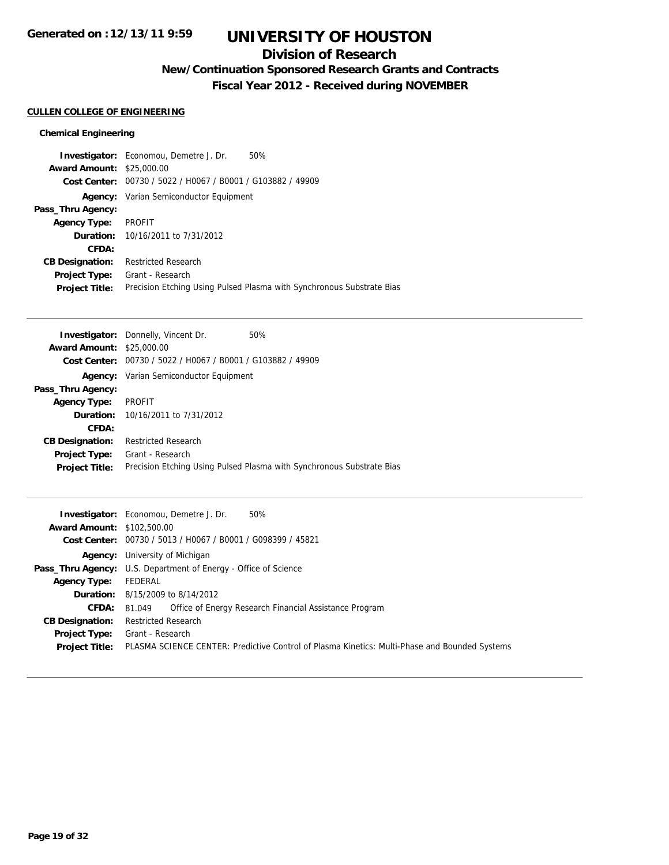## **Division of Research**

**New/Continuation Sponsored Research Grants and Contracts**

**Fiscal Year 2012 - Received during NOVEMBER**

#### **CULLEN COLLEGE OF ENGINEERING**

#### **Chemical Engineering**

|                                  | 50%<br><b>Investigator:</b> Economou, Demetre J. Dr.                  |
|----------------------------------|-----------------------------------------------------------------------|
| <b>Award Amount: \$25,000.00</b> |                                                                       |
|                                  | Cost Center: 00730 / 5022 / H0067 / B0001 / G103882 / 49909           |
|                                  | <b>Agency:</b> Varian Semiconductor Equipment                         |
| Pass_Thru Agency:                |                                                                       |
| <b>Agency Type:</b>              | PROFIT                                                                |
|                                  | <b>Duration:</b> 10/16/2011 to 7/31/2012                              |
| CFDA:                            |                                                                       |
| <b>CB Designation:</b>           | <b>Restricted Research</b>                                            |
| <b>Project Type:</b>             | Grant - Research                                                      |
| <b>Project Title:</b>            | Precision Etching Using Pulsed Plasma with Synchronous Substrate Bias |

|                        | <b>Investigator:</b> Donnelly, Vincent Dr.                  | 50%                                                                   |
|------------------------|-------------------------------------------------------------|-----------------------------------------------------------------------|
| <b>Award Amount:</b>   | \$25,000.00                                                 |                                                                       |
|                        | Cost Center: 00730 / 5022 / H0067 / B0001 / G103882 / 49909 |                                                                       |
|                        | <b>Agency:</b> Varian Semiconductor Equipment               |                                                                       |
| Pass_Thru Agency:      |                                                             |                                                                       |
| <b>Agency Type:</b>    | PROFIT                                                      |                                                                       |
|                        | <b>Duration:</b> 10/16/2011 to 7/31/2012                    |                                                                       |
| CFDA:                  |                                                             |                                                                       |
| <b>CB Designation:</b> | <b>Restricted Research</b>                                  |                                                                       |
| <b>Project Type:</b>   | Grant - Research                                            |                                                                       |
| <b>Project Title:</b>  |                                                             | Precision Etching Using Pulsed Plasma with Synchronous Substrate Bias |
|                        |                                                             |                                                                       |

|                                   | <b>Investigator:</b> Economou, Demetre J. Dr.<br>50%                                          |
|-----------------------------------|-----------------------------------------------------------------------------------------------|
| <b>Award Amount: \$102,500.00</b> |                                                                                               |
|                                   | Cost Center: 00730 / 5013 / H0067 / B0001 / G098399 / 45821                                   |
|                                   | <b>Agency:</b> University of Michigan                                                         |
|                                   | <b>Pass_Thru Agency:</b> U.S. Department of Energy - Office of Science                        |
| <b>Agency Type:</b>               | FEDERAL                                                                                       |
|                                   | <b>Duration:</b> 8/15/2009 to 8/14/2012                                                       |
| <b>CFDA:</b>                      | 81.049 Office of Energy Research Financial Assistance Program                                 |
| <b>CB Designation:</b>            | <b>Restricted Research</b>                                                                    |
| Project Type:                     | Grant - Research                                                                              |
| <b>Project Title:</b>             | PLASMA SCIENCE CENTER: Predictive Control of Plasma Kinetics: Multi-Phase and Bounded Systems |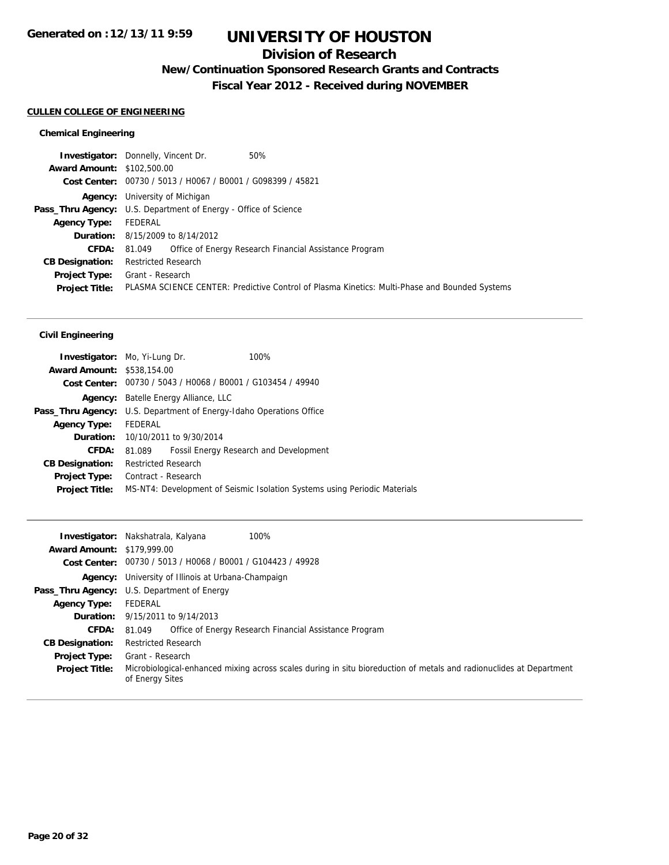### **Division of Research**

**New/Continuation Sponsored Research Grants and Contracts**

**Fiscal Year 2012 - Received during NOVEMBER**

#### **CULLEN COLLEGE OF ENGINEERING**

#### **Chemical Engineering**

| 50%<br><b>Investigator:</b> Donnelly, Vincent Dr.                                                                      |  |
|------------------------------------------------------------------------------------------------------------------------|--|
| <b>Award Amount: \$102,500.00</b>                                                                                      |  |
| Cost Center: 00730 / 5013 / H0067 / B0001 / G098399 / 45821                                                            |  |
| <b>Agency:</b> University of Michigan                                                                                  |  |
| <b>Pass_Thru Agency:</b> U.S. Department of Energy - Office of Science                                                 |  |
| FEDERAL                                                                                                                |  |
| <b>Duration:</b> 8/15/2009 to 8/14/2012                                                                                |  |
| <b>CFDA:</b> 81.049 Office of Energy Research Financial Assistance Program                                             |  |
| <b>Restricted Research</b>                                                                                             |  |
| <b>Project Type:</b> Grant - Research                                                                                  |  |
| PLASMA SCIENCE CENTER: Predictive Control of Plasma Kinetics: Multi-Phase and Bounded Systems<br><b>Project Title:</b> |  |
|                                                                                                                        |  |

#### **Civil Engineering**

| <b>Investigator:</b> Mo, Yi-Lung Dr.                                       |                            |                                                             | 100%                                                                      |
|----------------------------------------------------------------------------|----------------------------|-------------------------------------------------------------|---------------------------------------------------------------------------|
| <b>Award Amount: \$538,154.00</b>                                          |                            |                                                             |                                                                           |
|                                                                            |                            | Cost Center: 00730 / 5043 / H0068 / B0001 / G103454 / 49940 |                                                                           |
|                                                                            |                            | <b>Agency:</b> Batelle Energy Alliance, LLC                 |                                                                           |
| <b>Pass_Thru Agency:</b> U.S. Department of Energy-Idaho Operations Office |                            |                                                             |                                                                           |
| <b>Agency Type:</b>                                                        | FEDERAL                    |                                                             |                                                                           |
|                                                                            |                            | <b>Duration:</b> 10/10/2011 to 9/30/2014                    |                                                                           |
| <b>CFDA:</b>                                                               | 81.089                     |                                                             | Fossil Energy Research and Development                                    |
| <b>CB Designation:</b>                                                     | <b>Restricted Research</b> |                                                             |                                                                           |
| Project Type:                                                              | Contract - Research        |                                                             |                                                                           |
| <b>Project Title:</b>                                                      |                            |                                                             | MS-NT4: Development of Seismic Isolation Systems using Periodic Materials |
|                                                                            |                            |                                                             |                                                                           |

|                                   | 100%<br><b>Investigator:</b> Nakshatrala, Kalyana                                                                                      |
|-----------------------------------|----------------------------------------------------------------------------------------------------------------------------------------|
| <b>Award Amount: \$179,999.00</b> |                                                                                                                                        |
|                                   | Cost Center: 00730 / 5013 / H0068 / B0001 / G104423 / 49928                                                                            |
|                                   | <b>Agency:</b> University of Illinois at Urbana-Champaign                                                                              |
|                                   | <b>Pass_Thru Agency:</b> U.S. Department of Energy                                                                                     |
| <b>Agency Type:</b>               | FEDERAL                                                                                                                                |
|                                   | <b>Duration:</b> 9/15/2011 to 9/14/2013                                                                                                |
| <b>CFDA:</b>                      | Office of Energy Research Financial Assistance Program<br>81.049                                                                       |
| <b>CB Designation:</b>            | <b>Restricted Research</b>                                                                                                             |
| <b>Project Type:</b>              | Grant - Research                                                                                                                       |
| <b>Project Title:</b>             | Microbiological-enhanced mixing across scales during in situ bioreduction of metals and radionuclides at Department<br>of Energy Sites |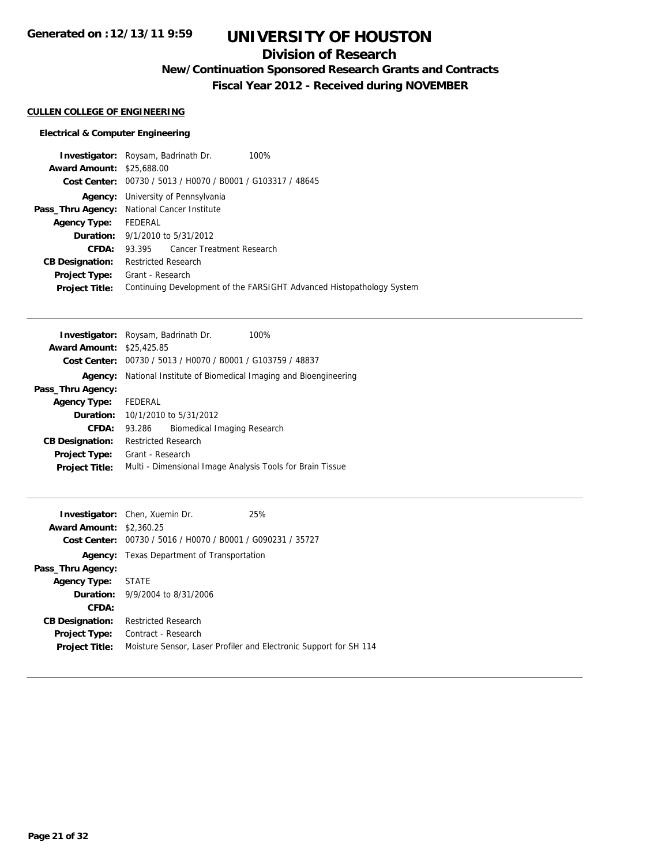## **Division of Research**

## **New/Continuation Sponsored Research Grants and Contracts**

**Fiscal Year 2012 - Received during NOVEMBER**

#### **CULLEN COLLEGE OF ENGINEERING**

#### **Electrical & Computer Engineering**

| <b>Investigator:</b> Roysam, Badrinath Dr.  |                            |                                                             | 100%                                                                  |
|---------------------------------------------|----------------------------|-------------------------------------------------------------|-----------------------------------------------------------------------|
| <b>Award Amount: \$25,688,00</b>            |                            |                                                             |                                                                       |
|                                             |                            | Cost Center: 00730 / 5013 / H0070 / B0001 / G103317 / 48645 |                                                                       |
|                                             |                            | <b>Agency:</b> University of Pennsylvania                   |                                                                       |
| Pass_Thru Agency: National Cancer Institute |                            |                                                             |                                                                       |
| Agency Type: FEDERAL                        |                            |                                                             |                                                                       |
|                                             |                            | <b>Duration:</b> 9/1/2010 to 5/31/2012                      |                                                                       |
| CFDA:                                       |                            | 93.395 Cancer Treatment Research                            |                                                                       |
| <b>CB Designation:</b>                      | <b>Restricted Research</b> |                                                             |                                                                       |
| <b>Project Type:</b>                        | Grant - Research           |                                                             |                                                                       |
| <b>Project Title:</b>                       |                            |                                                             | Continuing Development of the FARSIGHT Advanced Histopathology System |
|                                             |                            |                                                             |                                                                       |

|                                  | <b>Investigator:</b> Roysam, Badrinath Dr. |                             | 100%                                                        |
|----------------------------------|--------------------------------------------|-----------------------------|-------------------------------------------------------------|
| <b>Award Amount: \$25,425.85</b> |                                            |                             |                                                             |
|                                  |                                            |                             | Cost Center: 00730 / 5013 / H0070 / B0001 / G103759 / 48837 |
| Agency:                          |                                            |                             | National Institute of Biomedical Imaging and Bioengineering |
| Pass_Thru Agency:                |                                            |                             |                                                             |
| <b>Agency Type:</b>              | FEDERAL                                    |                             |                                                             |
|                                  | <b>Duration:</b> 10/1/2010 to 5/31/2012    |                             |                                                             |
| CFDA:                            | 93.286                                     | Biomedical Imaging Research |                                                             |
| <b>CB Designation:</b>           | <b>Restricted Research</b>                 |                             |                                                             |
| <b>Project Type:</b>             | Grant - Research                           |                             |                                                             |
| <b>Project Title:</b>            |                                            |                             | Multi - Dimensional Image Analysis Tools for Brain Tissue   |

| <b>Investigator:</b> Chen, Xuemin Dr.                       | 25%                                                               |
|-------------------------------------------------------------|-------------------------------------------------------------------|
| <b>Award Amount: \$2,360.25</b>                             |                                                                   |
| Cost Center: 00730 / 5016 / H0070 / B0001 / G090231 / 35727 |                                                                   |
| <b>Agency:</b> Texas Department of Transportation           |                                                                   |
|                                                             |                                                                   |
| <b>Agency Type: STATE</b>                                   |                                                                   |
| <b>Duration:</b> 9/9/2004 to 8/31/2006                      |                                                                   |
|                                                             |                                                                   |
| <b>Restricted Research</b>                                  |                                                                   |
| Contract - Research                                         |                                                                   |
|                                                             | Moisture Sensor, Laser Profiler and Electronic Support for SH 114 |
|                                                             |                                                                   |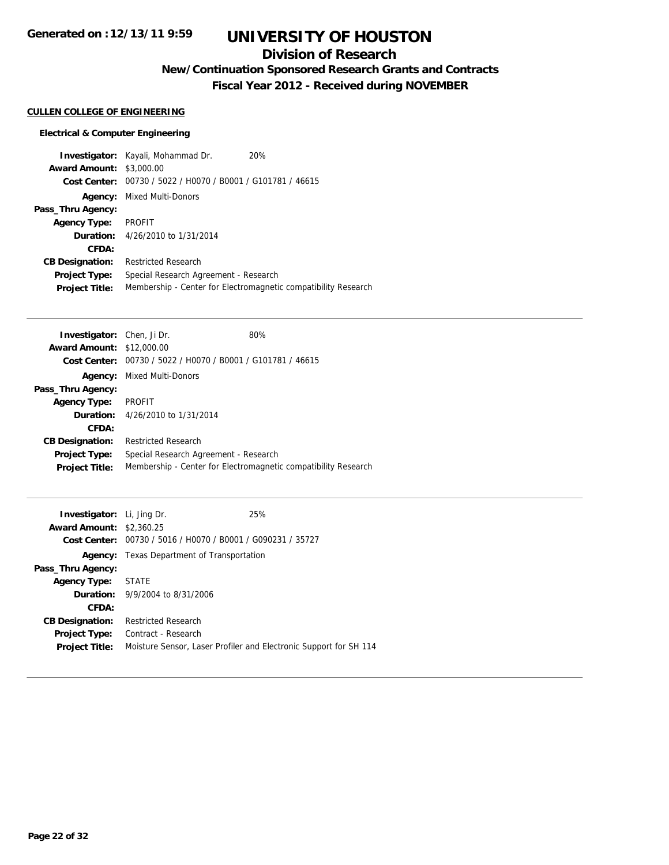## **Division of Research**

## **New/Continuation Sponsored Research Grants and Contracts**

**Fiscal Year 2012 - Received during NOVEMBER**

#### **CULLEN COLLEGE OF ENGINEERING**

#### **Electrical & Computer Engineering**

|                        | <b>Investigator:</b> Kayali, Mohammad Dr.      | 20%                                                            |
|------------------------|------------------------------------------------|----------------------------------------------------------------|
| <b>Award Amount:</b>   | \$3,000.00                                     |                                                                |
| Cost Center:           | 00730 / 5022 / H0070 / B0001 / G101781 / 46615 |                                                                |
| Agency:                | Mixed Multi-Donors                             |                                                                |
| Pass_Thru Agency:      |                                                |                                                                |
| <b>Agency Type:</b>    | <b>PROFIT</b>                                  |                                                                |
|                        | <b>Duration:</b> 4/26/2010 to 1/31/2014        |                                                                |
| CFDA:                  |                                                |                                                                |
| <b>CB Designation:</b> | <b>Restricted Research</b>                     |                                                                |
| <b>Project Type:</b>   | Special Research Agreement - Research          |                                                                |
| <b>Project Title:</b>  |                                                | Membership - Center for Electromagnetic compatibility Research |

| <b>Investigator:</b> Chen, Ji Dr. |                                                             | 80%                                                            |
|-----------------------------------|-------------------------------------------------------------|----------------------------------------------------------------|
| <b>Award Amount: \$12,000.00</b>  |                                                             |                                                                |
|                                   | Cost Center: 00730 / 5022 / H0070 / B0001 / G101781 / 46615 |                                                                |
| Agency:                           | Mixed Multi-Donors                                          |                                                                |
| Pass_Thru Agency:                 |                                                             |                                                                |
| <b>Agency Type:</b>               | <b>PROFIT</b>                                               |                                                                |
|                                   | <b>Duration:</b> 4/26/2010 to 1/31/2014                     |                                                                |
| CFDA:                             |                                                             |                                                                |
| <b>CB Designation:</b>            | <b>Restricted Research</b>                                  |                                                                |
| <b>Project Type:</b>              | Special Research Agreement - Research                       |                                                                |
| <b>Project Title:</b>             |                                                             | Membership - Center for Electromagnetic compatibility Research |
|                                   |                                                             |                                                                |

| <b>Investigator:</b> Li, Jing Dr. |                                                             | 25%                                                               |
|-----------------------------------|-------------------------------------------------------------|-------------------------------------------------------------------|
| <b>Award Amount: \$2,360.25</b>   |                                                             |                                                                   |
|                                   | Cost Center: 00730 / 5016 / H0070 / B0001 / G090231 / 35727 |                                                                   |
| Agency:                           | Texas Department of Transportation                          |                                                                   |
| Pass_Thru Agency:                 |                                                             |                                                                   |
| <b>Agency Type:</b>               | STATE                                                       |                                                                   |
|                                   | <b>Duration:</b> 9/9/2004 to 8/31/2006                      |                                                                   |
| CFDA:                             |                                                             |                                                                   |
| <b>CB Designation:</b>            | <b>Restricted Research</b>                                  |                                                                   |
| <b>Project Type:</b>              | Contract - Research                                         |                                                                   |
| <b>Project Title:</b>             |                                                             | Moisture Sensor, Laser Profiler and Electronic Support for SH 114 |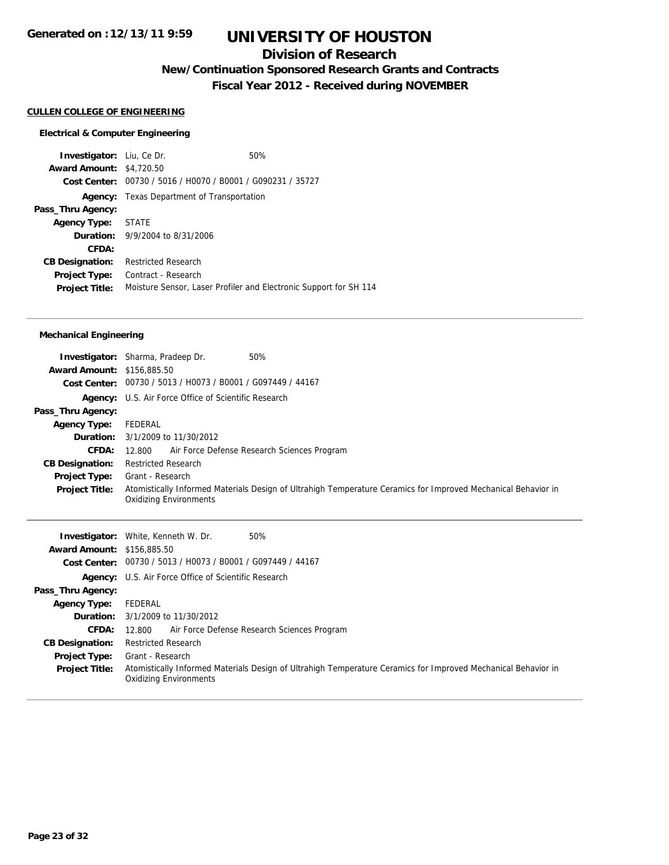### **Division of Research**

**New/Continuation Sponsored Research Grants and Contracts**

**Fiscal Year 2012 - Received during NOVEMBER**

#### **CULLEN COLLEGE OF ENGINEERING**

#### **Electrical & Computer Engineering**

**Investigator:** Liu, Ce Dr. 60% **Award Amount:** \$4,720.50 **Cost Center:** 00730 / 5016 / H0070 / B0001 / G090231 / 35727 **Agency:** Texas Department of Transportation **Pass\_Thru Agency: Agency Type:** STATE **Duration:** 9/9/2004 to 8/31/2006 **CFDA: CB Designation:** Restricted Research **Project Type:** Contract - Research **Project Title:** Moisture Sensor, Laser Profiler and Electronic Support for SH 114

#### **Mechanical Engineering**

|                                   | 50%<br><b>Investigator:</b> Sharma, Pradeep Dr.                                                                                                |
|-----------------------------------|------------------------------------------------------------------------------------------------------------------------------------------------|
| <b>Award Amount: \$156,885.50</b> |                                                                                                                                                |
|                                   | Cost Center: 00730 / 5013 / H0073 / B0001 / G097449 / 44167                                                                                    |
|                                   | <b>Agency:</b> U.S. Air Force Office of Scientific Research                                                                                    |
| Pass_Thru Agency:                 |                                                                                                                                                |
| <b>Agency Type:</b>               | FEDERAL                                                                                                                                        |
|                                   | <b>Duration:</b> 3/1/2009 to 11/30/2012                                                                                                        |
| <b>CFDA:</b>                      | 12.800 Air Force Defense Research Sciences Program                                                                                             |
| <b>CB Designation:</b>            | <b>Restricted Research</b>                                                                                                                     |
| Project Type:                     | Grant - Research                                                                                                                               |
| <b>Project Title:</b>             | Atomistically Informed Materials Design of Ultrahigh Temperature Ceramics for Improved Mechanical Behavior in<br><b>Oxidizing Environments</b> |

|                                   | 50%<br><b>Investigator:</b> White, Kenneth W. Dr.                                                                                              |
|-----------------------------------|------------------------------------------------------------------------------------------------------------------------------------------------|
| <b>Award Amount: \$156,885.50</b> |                                                                                                                                                |
|                                   | Cost Center: 00730 / 5013 / H0073 / B0001 / G097449 / 44167                                                                                    |
|                                   | <b>Agency:</b> U.S. Air Force Office of Scientific Research                                                                                    |
| Pass_Thru Agency:                 |                                                                                                                                                |
| <b>Agency Type:</b>               | FEDERAL                                                                                                                                        |
|                                   | <b>Duration:</b> $3/1/2009$ to $11/30/2012$                                                                                                    |
| <b>CFDA:</b>                      | 12.800 Air Force Defense Research Sciences Program                                                                                             |
| <b>CB Designation:</b>            | <b>Restricted Research</b>                                                                                                                     |
| Project Type:                     | Grant - Research                                                                                                                               |
| <b>Project Title:</b>             | Atomistically Informed Materials Design of Ultrahigh Temperature Ceramics for Improved Mechanical Behavior in<br><b>Oxidizing Environments</b> |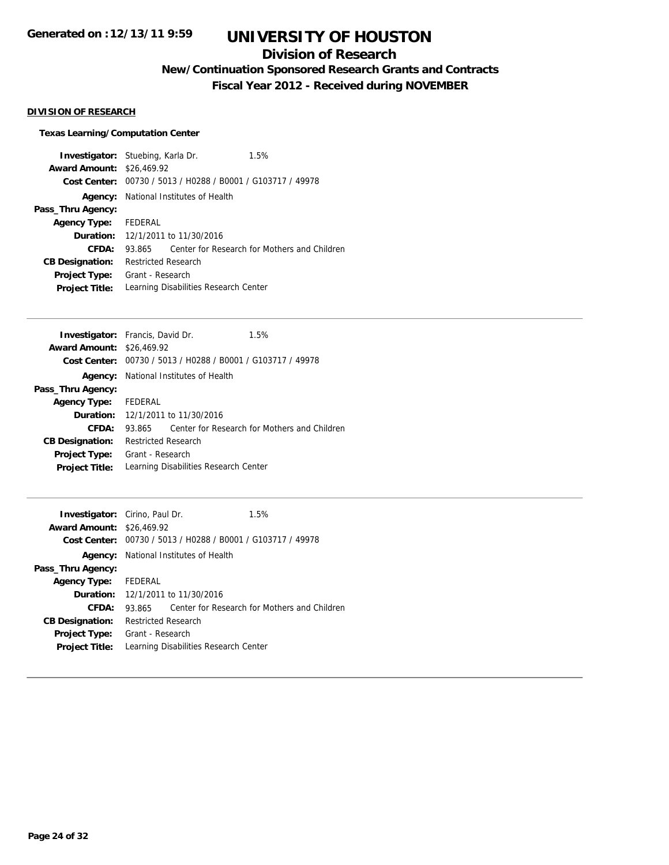## **Division of Research**

## **New/Continuation Sponsored Research Grants and Contracts**

**Fiscal Year 2012 - Received during NOVEMBER**

#### **DIVISION OF RESEARCH**

#### **Texas Learning/Computation Center**

| <b>Investigator:</b> Stuebing, Karla Dr. |                                              |                                       | 1.5%                                                        |  |
|------------------------------------------|----------------------------------------------|---------------------------------------|-------------------------------------------------------------|--|
| <b>Award Amount: \$26,469.92</b>         |                                              |                                       |                                                             |  |
|                                          |                                              |                                       | Cost Center: 00730 / 5013 / H0288 / B0001 / G103717 / 49978 |  |
|                                          | <b>Agency:</b> National Institutes of Health |                                       |                                                             |  |
| Pass_Thru Agency:                        |                                              |                                       |                                                             |  |
| <b>Agency Type:</b>                      | FEDERAL                                      |                                       |                                                             |  |
|                                          | <b>Duration:</b> 12/1/2011 to 11/30/2016     |                                       |                                                             |  |
| CFDA:                                    | 93.865                                       |                                       | Center for Research for Mothers and Children                |  |
| <b>CB Designation:</b>                   | <b>Restricted Research</b>                   |                                       |                                                             |  |
| <b>Project Type:</b>                     | Grant - Research                             |                                       |                                                             |  |
| <b>Project Title:</b>                    |                                              | Learning Disabilities Research Center |                                                             |  |

|                            |  | 1.5%                                                                                                                                                                                                                                                                            |  |
|----------------------------|--|---------------------------------------------------------------------------------------------------------------------------------------------------------------------------------------------------------------------------------------------------------------------------------|--|
|                            |  |                                                                                                                                                                                                                                                                                 |  |
|                            |  |                                                                                                                                                                                                                                                                                 |  |
|                            |  |                                                                                                                                                                                                                                                                                 |  |
|                            |  |                                                                                                                                                                                                                                                                                 |  |
| Agency Type: FEDERAL       |  |                                                                                                                                                                                                                                                                                 |  |
|                            |  |                                                                                                                                                                                                                                                                                 |  |
| 93.865                     |  | Center for Research for Mothers and Children                                                                                                                                                                                                                                    |  |
| <b>Restricted Research</b> |  |                                                                                                                                                                                                                                                                                 |  |
| Grant - Research           |  |                                                                                                                                                                                                                                                                                 |  |
|                            |  |                                                                                                                                                                                                                                                                                 |  |
|                            |  | <b>Investigator:</b> Francis, David Dr.<br><b>Award Amount: \$26,469.92</b><br>Cost Center: 00730 / 5013 / H0288 / B0001 / G103717 / 49978<br><b>Agency:</b> National Institutes of Health<br><b>Duration:</b> 12/1/2011 to 11/30/2016<br>Learning Disabilities Research Center |  |

| <b>Investigator:</b> Cirino, Paul Dr. |                     |                                                             | 1.5%                                         |  |
|---------------------------------------|---------------------|-------------------------------------------------------------|----------------------------------------------|--|
| <b>Award Amount: \$26,469.92</b>      |                     |                                                             |                                              |  |
|                                       |                     | Cost Center: 00730 / 5013 / H0288 / B0001 / G103717 / 49978 |                                              |  |
|                                       |                     | <b>Agency:</b> National Institutes of Health                |                                              |  |
| Pass_Thru Agency:                     |                     |                                                             |                                              |  |
| <b>Agency Type:</b>                   | FEDERAL             |                                                             |                                              |  |
|                                       |                     | <b>Duration:</b> 12/1/2011 to 11/30/2016                    |                                              |  |
| CFDA:                                 | 93.865.             |                                                             | Center for Research for Mothers and Children |  |
| <b>CB Designation:</b>                | Restricted Research |                                                             |                                              |  |
| <b>Project Type:</b>                  | Grant - Research    |                                                             |                                              |  |
| <b>Project Title:</b>                 |                     | Learning Disabilities Research Center                       |                                              |  |
|                                       |                     |                                                             |                                              |  |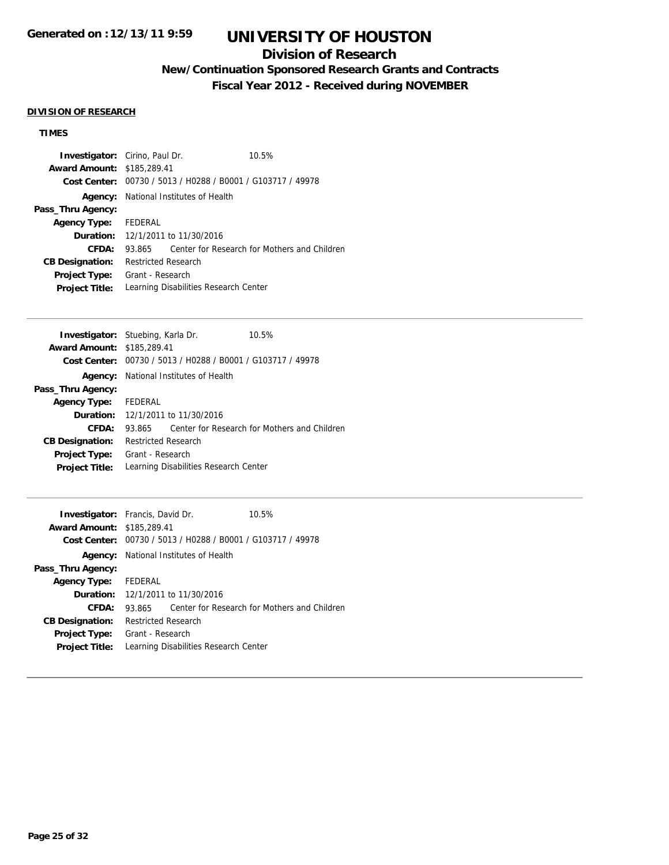## **Division of Research**

## **New/Continuation Sponsored Research Grants and Contracts**

**Fiscal Year 2012 - Received during NOVEMBER**

#### **DIVISION OF RESEARCH**

## **TIMES**

| <b>Investigator:</b> Cirino, Paul Dr.    |                                              |  | 10.5%                                                       |  |
|------------------------------------------|----------------------------------------------|--|-------------------------------------------------------------|--|
| <b>Award Amount: \$185,289.41</b>        |                                              |  |                                                             |  |
|                                          |                                              |  | Cost Center: 00730 / 5013 / H0288 / B0001 / G103717 / 49978 |  |
|                                          | <b>Agency:</b> National Institutes of Health |  |                                                             |  |
| Pass_Thru Agency:                        |                                              |  |                                                             |  |
| Agency Type: FEDERAL                     |                                              |  |                                                             |  |
| <b>Duration:</b> 12/1/2011 to 11/30/2016 |                                              |  |                                                             |  |
| CFDA:                                    | 93.865                                       |  | Center for Research for Mothers and Children                |  |
| <b>CB Designation:</b>                   | <b>Restricted Research</b>                   |  |                                                             |  |
| <b>Project Type:</b>                     | Grant - Research                             |  |                                                             |  |
| <b>Project Title:</b>                    |                                              |  | Learning Disabilities Research Center                       |  |

|        |                                                           | 10.5%                                                                                                                                                                                                                                                                           |
|--------|-----------------------------------------------------------|---------------------------------------------------------------------------------------------------------------------------------------------------------------------------------------------------------------------------------------------------------------------------------|
|        |                                                           |                                                                                                                                                                                                                                                                                 |
|        |                                                           |                                                                                                                                                                                                                                                                                 |
|        |                                                           |                                                                                                                                                                                                                                                                                 |
|        |                                                           |                                                                                                                                                                                                                                                                                 |
|        |                                                           |                                                                                                                                                                                                                                                                                 |
|        |                                                           |                                                                                                                                                                                                                                                                                 |
| 93.865 |                                                           | Center for Research for Mothers and Children                                                                                                                                                                                                                                    |
|        |                                                           |                                                                                                                                                                                                                                                                                 |
|        |                                                           |                                                                                                                                                                                                                                                                                 |
|        |                                                           |                                                                                                                                                                                                                                                                                 |
|        | <b>Award Amount: \$185,289.41</b><br>Agency Type: FEDERAL | <b>Investigator:</b> Stuebing, Karla Dr.<br>Cost Center: 00730 / 5013 / H0288 / B0001 / G103717 / 49978<br>National Institutes of Health<br><b>Duration:</b> 12/1/2011 to 11/30/2016<br><b>Restricted Research</b><br>Grant - Research<br>Learning Disabilities Research Center |

| <b>Investigator:</b> Francis, David Dr. |                            |                                                             | 10.5%                                        |  |
|-----------------------------------------|----------------------------|-------------------------------------------------------------|----------------------------------------------|--|
| <b>Award Amount:</b>                    | \$185,289.41               |                                                             |                                              |  |
|                                         |                            | Cost Center: 00730 / 5013 / H0288 / B0001 / G103717 / 49978 |                                              |  |
| Agency:                                 |                            | National Institutes of Health                               |                                              |  |
| Pass_Thru Agency:                       |                            |                                                             |                                              |  |
| Agency Type: FEDERAL                    |                            |                                                             |                                              |  |
|                                         |                            | <b>Duration:</b> 12/1/2011 to 11/30/2016                    |                                              |  |
| CFDA:                                   | 93.865                     |                                                             | Center for Research for Mothers and Children |  |
| <b>CB Designation:</b>                  | <b>Restricted Research</b> |                                                             |                                              |  |
| <b>Project Type:</b>                    | Grant - Research           |                                                             |                                              |  |
| <b>Project Title:</b>                   |                            | Learning Disabilities Research Center                       |                                              |  |
|                                         |                            |                                                             |                                              |  |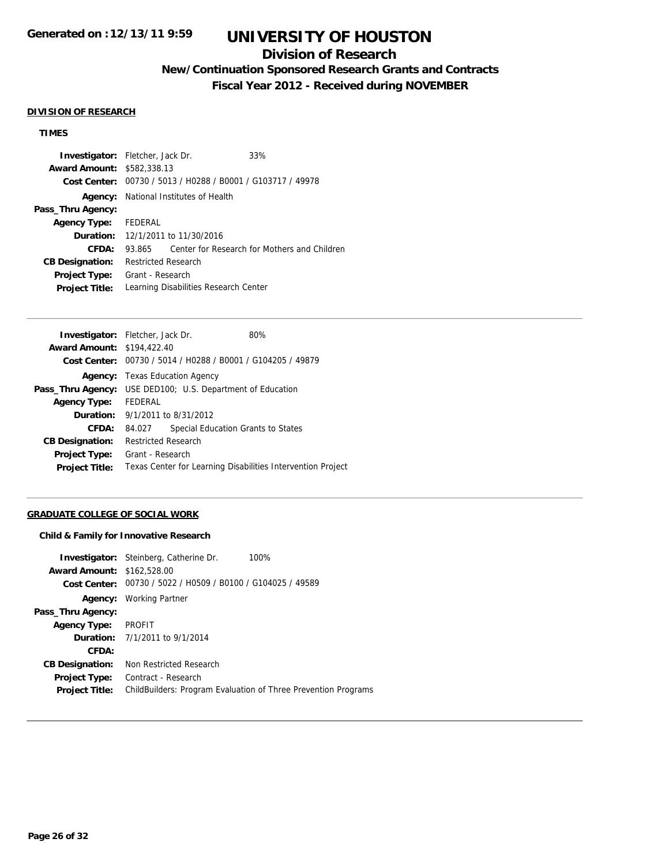## **Division of Research**

## **New/Continuation Sponsored Research Grants and Contracts**

**Fiscal Year 2012 - Received during NOVEMBER**

#### **DIVISION OF RESEARCH**

#### **TIMES**

| <b>Investigator:</b> Fletcher, Jack Dr. |                            |                                                             | 33%                                          |  |
|-----------------------------------------|----------------------------|-------------------------------------------------------------|----------------------------------------------|--|
| <b>Award Amount: \$582,338.13</b>       |                            |                                                             |                                              |  |
|                                         |                            | Cost Center: 00730 / 5013 / H0288 / B0001 / G103717 / 49978 |                                              |  |
|                                         |                            | <b>Agency:</b> National Institutes of Health                |                                              |  |
| Pass_Thru Agency:                       |                            |                                                             |                                              |  |
| Agency Type: FEDERAL                    |                            |                                                             |                                              |  |
|                                         |                            | <b>Duration:</b> 12/1/2011 to 11/30/2016                    |                                              |  |
| CFDA:                                   | 93.865                     |                                                             | Center for Research for Mothers and Children |  |
| <b>CB Designation:</b>                  | <b>Restricted Research</b> |                                                             |                                              |  |
| Project Type:                           | Grant - Research           |                                                             |                                              |  |
| <b>Project Title:</b>                   |                            | Learning Disabilities Research Center                       |                                              |  |

| <b>Investigator:</b> Fletcher, Jack Dr.                           |                            |                                       | 80%                                                         |  |
|-------------------------------------------------------------------|----------------------------|---------------------------------------|-------------------------------------------------------------|--|
| <b>Award Amount: \$194,422.40</b>                                 |                            |                                       |                                                             |  |
|                                                                   |                            |                                       | Cost Center: 00730 / 5014 / H0288 / B0001 / G104205 / 49879 |  |
|                                                                   |                            | <b>Agency:</b> Texas Education Agency |                                                             |  |
| <b>Pass_Thru Agency:</b> USE DED100; U.S. Department of Education |                            |                                       |                                                             |  |
| <b>Agency Type:</b>                                               | FEDERAL                    |                                       |                                                             |  |
| <b>Duration:</b> 9/1/2011 to 8/31/2012                            |                            |                                       |                                                             |  |
| CFDA:                                                             | 84.027                     |                                       | Special Education Grants to States                          |  |
| <b>CB Designation:</b>                                            | <b>Restricted Research</b> |                                       |                                                             |  |
| <b>Project Type:</b>                                              | Grant - Research           |                                       |                                                             |  |
| <b>Project Title:</b>                                             |                            |                                       | Texas Center for Learning Disabilities Intervention Project |  |

#### **GRADUATE COLLEGE OF SOCIAL WORK**

#### **Child & Family for Innovative Research**

| <b>Investigator:</b> Steinberg, Catherine Dr.               | 100%                                                                  |
|-------------------------------------------------------------|-----------------------------------------------------------------------|
| <b>Award Amount: \$162,528.00</b>                           |                                                                       |
| Cost Center: 00730 / 5022 / H0509 / B0100 / G104025 / 49589 |                                                                       |
| Working Partner                                             |                                                                       |
|                                                             |                                                                       |
| <b>PROFIT</b>                                               |                                                                       |
| <b>Duration:</b> 7/1/2011 to 9/1/2014                       |                                                                       |
|                                                             |                                                                       |
| Non Restricted Research                                     |                                                                       |
| Contract - Research                                         |                                                                       |
|                                                             | <b>ChildBuilders: Program Evaluation of Three Prevention Programs</b> |
|                                                             |                                                                       |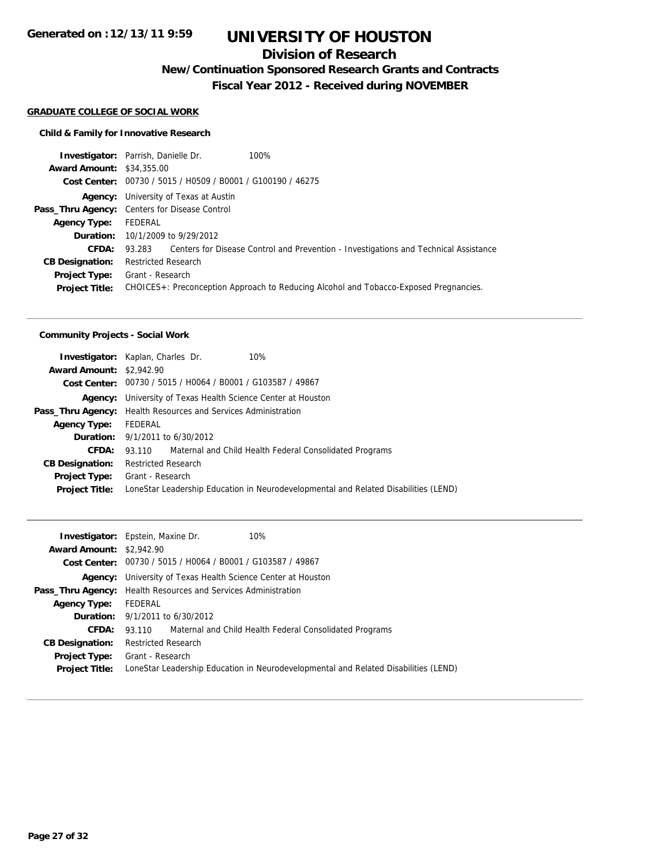### **Division of Research**

**New/Continuation Sponsored Research Grants and Contracts**

**Fiscal Year 2012 - Received during NOVEMBER**

#### **GRADUATE COLLEGE OF SOCIAL WORK**

#### **Child & Family for Innovative Research**

|         | 100%                                                                                                                                                                                                                                                                                                                                        |
|---------|---------------------------------------------------------------------------------------------------------------------------------------------------------------------------------------------------------------------------------------------------------------------------------------------------------------------------------------------|
|         |                                                                                                                                                                                                                                                                                                                                             |
|         |                                                                                                                                                                                                                                                                                                                                             |
|         |                                                                                                                                                                                                                                                                                                                                             |
|         |                                                                                                                                                                                                                                                                                                                                             |
| FEDERAL |                                                                                                                                                                                                                                                                                                                                             |
|         |                                                                                                                                                                                                                                                                                                                                             |
|         | 93.283 Centers for Disease Control and Prevention - Investigations and Technical Assistance                                                                                                                                                                                                                                                 |
|         |                                                                                                                                                                                                                                                                                                                                             |
|         |                                                                                                                                                                                                                                                                                                                                             |
|         | CHOICES+: Preconception Approach to Reducing Alcohol and Tobacco-Exposed Pregnancies.                                                                                                                                                                                                                                                       |
|         | <b>Investigator:</b> Parrish, Danielle Dr.<br><b>Award Amount: \$34,355,00</b><br>Cost Center: 00730 / 5015 / H0509 / B0001 / G100190 / 46275<br><b>Agency:</b> University of Texas at Austin<br>Pass_Thru Agency: Centers for Disease Control<br><b>Duration:</b> 10/1/2009 to 9/29/2012<br><b>Restricted Research</b><br>Grant - Research |

#### **Community Projects - Social Work**

|                                 | 10%<br><b>Investigator:</b> Kaplan, Charles Dr.                                     |
|---------------------------------|-------------------------------------------------------------------------------------|
| <b>Award Amount: \$2,942.90</b> |                                                                                     |
|                                 | Cost Center: 00730 / 5015 / H0064 / B0001 / G103587 / 49867                         |
|                                 | <b>Agency:</b> University of Texas Health Science Center at Houston                 |
|                                 | <b>Pass_Thru Agency:</b> Health Resources and Services Administration               |
| <b>Agency Type:</b>             | FEDERAL                                                                             |
|                                 | <b>Duration:</b> $9/1/2011$ to $6/30/2012$                                          |
| CFDA:                           | 93.110 Maternal and Child Health Federal Consolidated Programs                      |
| <b>CB Designation:</b>          | <b>Restricted Research</b>                                                          |
|                                 | <b>Project Type:</b> Grant - Research                                               |
| <b>Project Title:</b>           | LoneStar Leadership Education in Neurodevelopmental and Related Disabilities (LEND) |
|                                 |                                                                                     |

|                                 | 10%<br><b>Investigator:</b> Epstein, Maxine Dr.                                     |
|---------------------------------|-------------------------------------------------------------------------------------|
| <b>Award Amount: \$2,942.90</b> |                                                                                     |
|                                 | Cost Center: 00730 / 5015 / H0064 / B0001 / G103587 / 49867                         |
|                                 | <b>Agency:</b> University of Texas Health Science Center at Houston                 |
|                                 | <b>Pass_Thru Agency:</b> Health Resources and Services Administration               |
| <b>Agency Type:</b>             | FEDERAL                                                                             |
|                                 | <b>Duration:</b> $9/1/2011$ to $6/30/2012$                                          |
| <b>CFDA:</b>                    | 93.110 Maternal and Child Health Federal Consolidated Programs                      |
| <b>CB Designation:</b>          | <b>Restricted Research</b>                                                          |
|                                 | <b>Project Type:</b> Grant - Research                                               |
| <b>Project Title:</b>           | LoneStar Leadership Education in Neurodevelopmental and Related Disabilities (LEND) |
|                                 |                                                                                     |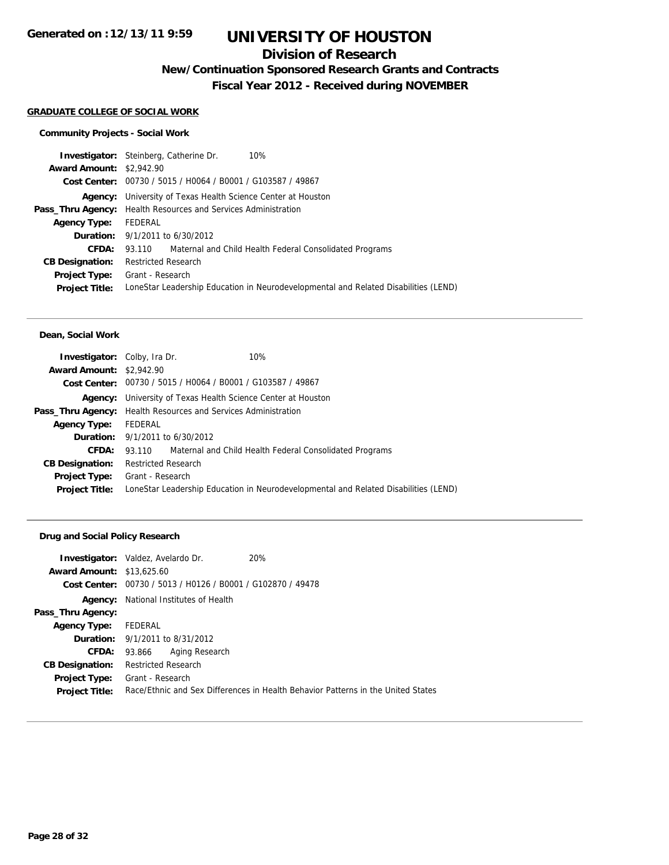### **Division of Research**

**New/Continuation Sponsored Research Grants and Contracts**

**Fiscal Year 2012 - Received during NOVEMBER**

#### **GRADUATE COLLEGE OF SOCIAL WORK**

#### **Community Projects - Social Work**

|                                 | <b>Investigator:</b> Steinberg, Catherine Dr.<br>10%                                |  |
|---------------------------------|-------------------------------------------------------------------------------------|--|
| <b>Award Amount: \$2,942.90</b> |                                                                                     |  |
|                                 | Cost Center: 00730 / 5015 / H0064 / B0001 / G103587 / 49867                         |  |
|                                 | <b>Agency:</b> University of Texas Health Science Center at Houston                 |  |
|                                 | <b>Pass_Thru Agency:</b> Health Resources and Services Administration               |  |
| <b>Agency Type:</b>             | FEDERAL                                                                             |  |
|                                 | <b>Duration:</b> $9/1/2011$ to $6/30/2012$                                          |  |
| CFDA:                           | 93.110 Maternal and Child Health Federal Consolidated Programs                      |  |
| <b>CB Designation:</b>          | <b>Restricted Research</b>                                                          |  |
| <b>Project Type:</b>            | Grant - Research                                                                    |  |
| <b>Project Title:</b>           | LoneStar Leadership Education in Neurodevelopmental and Related Disabilities (LEND) |  |
|                                 |                                                                                     |  |

#### **Dean, Social Work**

| <b>Investigator:</b> Colby, Ira Dr.                                   |                                        |                                                             | 10%                                                                                 |
|-----------------------------------------------------------------------|----------------------------------------|-------------------------------------------------------------|-------------------------------------------------------------------------------------|
| <b>Award Amount: \$2,942.90</b>                                       |                                        |                                                             |                                                                                     |
|                                                                       |                                        | Cost Center: 00730 / 5015 / H0064 / B0001 / G103587 / 49867 |                                                                                     |
|                                                                       |                                        |                                                             | <b>Agency:</b> University of Texas Health Science Center at Houston                 |
| <b>Pass_Thru Agency:</b> Health Resources and Services Administration |                                        |                                                             |                                                                                     |
| <b>Agency Type:</b>                                                   | FEDERAL                                |                                                             |                                                                                     |
|                                                                       | <b>Duration:</b> 9/1/2011 to 6/30/2012 |                                                             |                                                                                     |
| <b>CFDA:</b>                                                          |                                        |                                                             | 93.110 Maternal and Child Health Federal Consolidated Programs                      |
| <b>CB Designation:</b>                                                | <b>Restricted Research</b>             |                                                             |                                                                                     |
| <b>Project Type:</b> Grant - Research                                 |                                        |                                                             |                                                                                     |
| <b>Project Title:</b>                                                 |                                        |                                                             | LoneStar Leadership Education in Neurodevelopmental and Related Disabilities (LEND) |
|                                                                       |                                        |                                                             |                                                                                     |

#### **Drug and Social Policy Research**

|                                  | <b>Investigator:</b> Valdez, Avelardo Dr.      | <b>20%</b>                                                                       |
|----------------------------------|------------------------------------------------|----------------------------------------------------------------------------------|
| <b>Award Amount: \$13,625.60</b> |                                                |                                                                                  |
| Cost Center:                     | 00730 / 5013 / H0126 / B0001 / G102870 / 49478 |                                                                                  |
| Agency:                          | National Institutes of Health                  |                                                                                  |
| Pass_Thru Agency:                |                                                |                                                                                  |
| <b>Agency Type:</b>              | FEDERAL                                        |                                                                                  |
|                                  | <b>Duration:</b> 9/1/2011 to 8/31/2012         |                                                                                  |
| <b>CFDA:</b>                     | Aging Research<br>93.866                       |                                                                                  |
| <b>CB Designation:</b>           | <b>Restricted Research</b>                     |                                                                                  |
| <b>Project Type:</b>             | Grant - Research                               |                                                                                  |
| <b>Project Title:</b>            |                                                | Race/Ethnic and Sex Differences in Health Behavior Patterns in the United States |
|                                  |                                                |                                                                                  |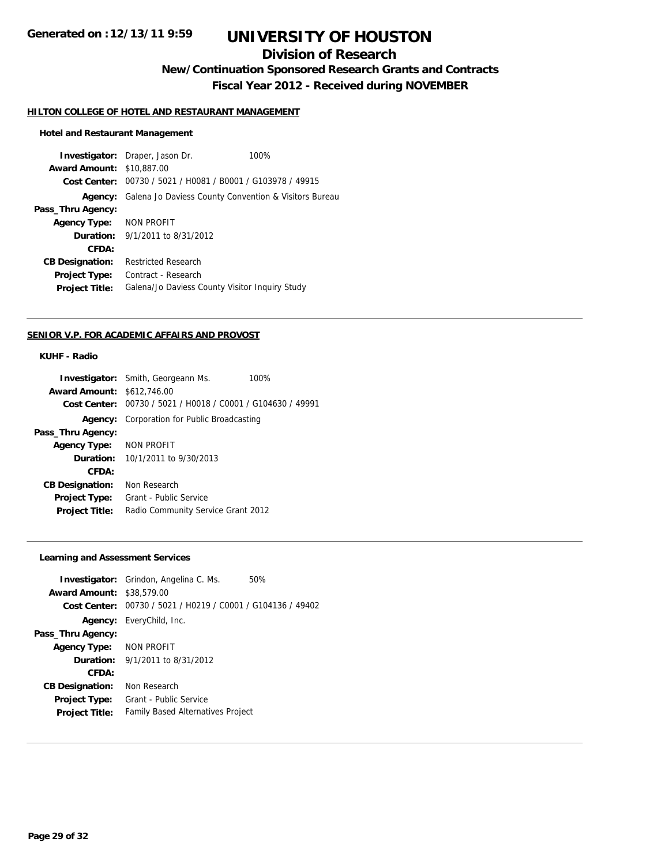## **Division of Research**

**New/Continuation Sponsored Research Grants and Contracts**

**Fiscal Year 2012 - Received during NOVEMBER**

#### **HILTON COLLEGE OF HOTEL AND RESTAURANT MANAGEMENT**

#### **Hotel and Restaurant Management**

**Investigator:** Draper, Jason Dr. 100% **Award Amount:** \$10,887.00 **Cost Center:** 00730 / 5021 / H0081 / B0001 / G103978 / 49915 **Agency:** Galena Jo Daviess County Convention & Visitors Bureau **Pass\_Thru Agency: Agency Type:** NON PROFIT **Duration:** 9/1/2011 to 8/31/2012 **CFDA: CB Designation:** Restricted Research **Project Type:** Contract - Research **Project Title:** Galena/Jo Daviess County Visitor Inquiry Study

#### **SENIOR V.P. FOR ACADEMIC AFFAIRS AND PROVOST**

#### **KUHF - Radio**

|                                   | <b>Investigator:</b> Smith, Georgeann Ms.      | 100% |
|-----------------------------------|------------------------------------------------|------|
| <b>Award Amount: \$612,746.00</b> |                                                |      |
| Cost Center:                      | 00730 / 5021 / H0018 / C0001 / G104630 / 49991 |      |
| Agency:                           | Corporation for Public Broadcasting            |      |
| Pass_Thru Agency:                 |                                                |      |
| <b>Agency Type:</b>               | NON PROFIT                                     |      |
|                                   | <b>Duration:</b> $10/1/2011$ to $9/30/2013$    |      |
| CFDA:                             |                                                |      |
| <b>CB Designation:</b>            | Non Research                                   |      |
| <b>Project Type:</b>              | Grant - Public Service                         |      |
| <b>Project Title:</b>             | Radio Community Service Grant 2012             |      |
|                                   |                                                |      |

#### **Learning and Assessment Services**

|                                  | <b>Investigator:</b> Grindon, Angelina C. Ms.               | 50% |
|----------------------------------|-------------------------------------------------------------|-----|
| <b>Award Amount: \$38,579.00</b> |                                                             |     |
|                                  | Cost Center: 00730 / 5021 / H0219 / C0001 / G104136 / 49402 |     |
|                                  | <b>Agency:</b> EveryChild, Inc.                             |     |
| Pass_Thru Agency:                |                                                             |     |
| Agency Type: NON PROFIT          |                                                             |     |
|                                  | <b>Duration:</b> $9/1/2011$ to $8/31/2012$                  |     |
| CFDA:                            |                                                             |     |
| <b>CB Designation:</b>           | Non Research                                                |     |
| <b>Project Type:</b>             | Grant - Public Service                                      |     |
| <b>Project Title:</b>            | <b>Family Based Alternatives Project</b>                    |     |
|                                  |                                                             |     |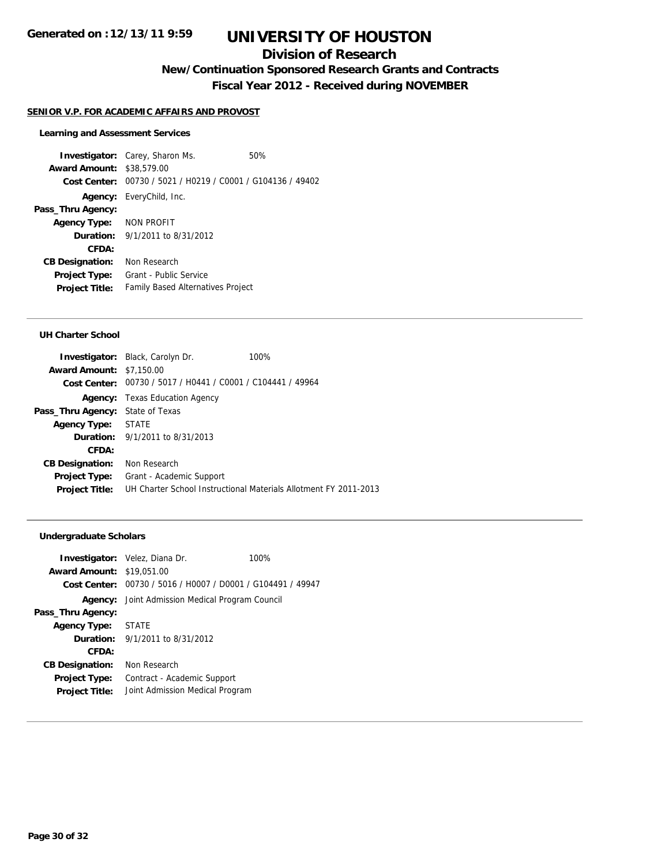## **Division of Research**

**New/Continuation Sponsored Research Grants and Contracts**

**Fiscal Year 2012 - Received during NOVEMBER**

#### **SENIOR V.P. FOR ACADEMIC AFFAIRS AND PROVOST**

#### **Learning and Assessment Services**

**Investigator:** Carey, Sharon Ms. 60% **Award Amount:** \$38,579.00 **Cost Center:** 00730 / 5021 / H0219 / C0001 / G104136 / 49402 **Agency:** EveryChild, Inc. **Pass\_Thru Agency: Agency Type:** NON PROFIT **Duration:** 9/1/2011 to 8/31/2012 **CFDA: CB Designation:** Non Research **Project Type:** Grant - Public Service **Project Title:** Family Based Alternatives Project

#### **UH Charter School**

|                                         | <b>Investigator:</b> Black, Carolyn Dr.                     | 100%                                                             |
|-----------------------------------------|-------------------------------------------------------------|------------------------------------------------------------------|
| <b>Award Amount: \$7,150.00</b>         |                                                             |                                                                  |
|                                         | Cost Center: 00730 / 5017 / H0441 / C0001 / C104441 / 49964 |                                                                  |
|                                         | <b>Agency:</b> Texas Education Agency                       |                                                                  |
| <b>Pass_Thru Agency:</b> State of Texas |                                                             |                                                                  |
| Agency Type: STATE                      |                                                             |                                                                  |
|                                         | <b>Duration:</b> 9/1/2011 to 8/31/2013                      |                                                                  |
| CFDA:                                   |                                                             |                                                                  |
| <b>CB Designation:</b>                  | Non Research                                                |                                                                  |
| <b>Project Type:</b>                    | Grant - Academic Support                                    |                                                                  |
| <b>Project Title:</b>                   |                                                             | UH Charter School Instructional Materials Allotment FY 2011-2013 |

#### **Undergraduate Scholars**

|                             | 100%                                                                                                                                                                                                                                                                                                |
|-----------------------------|-----------------------------------------------------------------------------------------------------------------------------------------------------------------------------------------------------------------------------------------------------------------------------------------------------|
|                             |                                                                                                                                                                                                                                                                                                     |
|                             |                                                                                                                                                                                                                                                                                                     |
|                             |                                                                                                                                                                                                                                                                                                     |
| <b>STATE</b>                |                                                                                                                                                                                                                                                                                                     |
|                             |                                                                                                                                                                                                                                                                                                     |
|                             |                                                                                                                                                                                                                                                                                                     |
| Non Research                |                                                                                                                                                                                                                                                                                                     |
| Contract - Academic Support |                                                                                                                                                                                                                                                                                                     |
|                             |                                                                                                                                                                                                                                                                                                     |
|                             | <b>Investigator:</b> Velez, Diana Dr.<br><b>Award Amount: \$19,051,00</b><br>Cost Center: 00730 / 5016 / H0007 / D0001 / G104491 / 49947<br><b>Agency:</b> Joint Admission Medical Program Council<br>Agency Type:<br><b>Duration:</b> $9/1/2011$ to $8/31/2012$<br>Joint Admission Medical Program |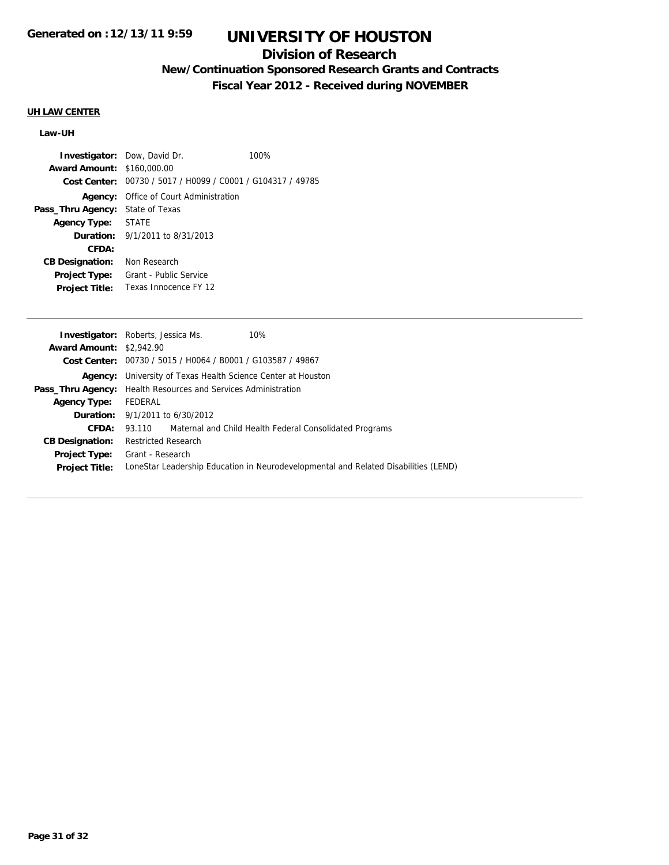## **Division of Research**

## **New/Continuation Sponsored Research Grants and Contracts**

**Fiscal Year 2012 - Received during NOVEMBER**

## **UH LAW CENTER**

#### **Law-UH**

|                                   | <b>Investigator:</b> Dow, David Dr.                         | 100% |
|-----------------------------------|-------------------------------------------------------------|------|
| <b>Award Amount: \$160,000.00</b> |                                                             |      |
|                                   | Cost Center: 00730 / 5017 / H0099 / C0001 / G104317 / 49785 |      |
| Agency:                           | Office of Court Administration                              |      |
| Pass_Thru Agency:                 | State of Texas                                              |      |
| Agency Type: STATE                |                                                             |      |
|                                   | <b>Duration:</b> $9/1/2011$ to $8/31/2013$                  |      |
| CFDA:                             |                                                             |      |
| <b>CB Designation:</b>            | Non Research                                                |      |
| <b>Project Type:</b>              | Grant - Public Service                                      |      |
| <b>Project Title:</b>             | Texas Innocence FY 12                                       |      |
|                                   |                                                             |      |

|                                 | <b>Investigator:</b> Roberts, Jessica Ms.<br>10%                                    |  |
|---------------------------------|-------------------------------------------------------------------------------------|--|
| <b>Award Amount: \$2,942.90</b> |                                                                                     |  |
|                                 | Cost Center: 00730 / 5015 / H0064 / B0001 / G103587 / 49867                         |  |
|                                 | <b>Agency:</b> University of Texas Health Science Center at Houston                 |  |
|                                 | <b>Pass_Thru Agency:</b> Health Resources and Services Administration               |  |
| <b>Agency Type:</b>             | FEDERAL                                                                             |  |
|                                 | <b>Duration:</b> 9/1/2011 to 6/30/2012                                              |  |
| CFDA:                           | 93.110 Maternal and Child Health Federal Consolidated Programs                      |  |
| <b>CB Designation:</b>          | <b>Restricted Research</b>                                                          |  |
| <b>Project Type:</b>            | Grant - Research                                                                    |  |
| <b>Project Title:</b>           | LoneStar Leadership Education in Neurodevelopmental and Related Disabilities (LEND) |  |